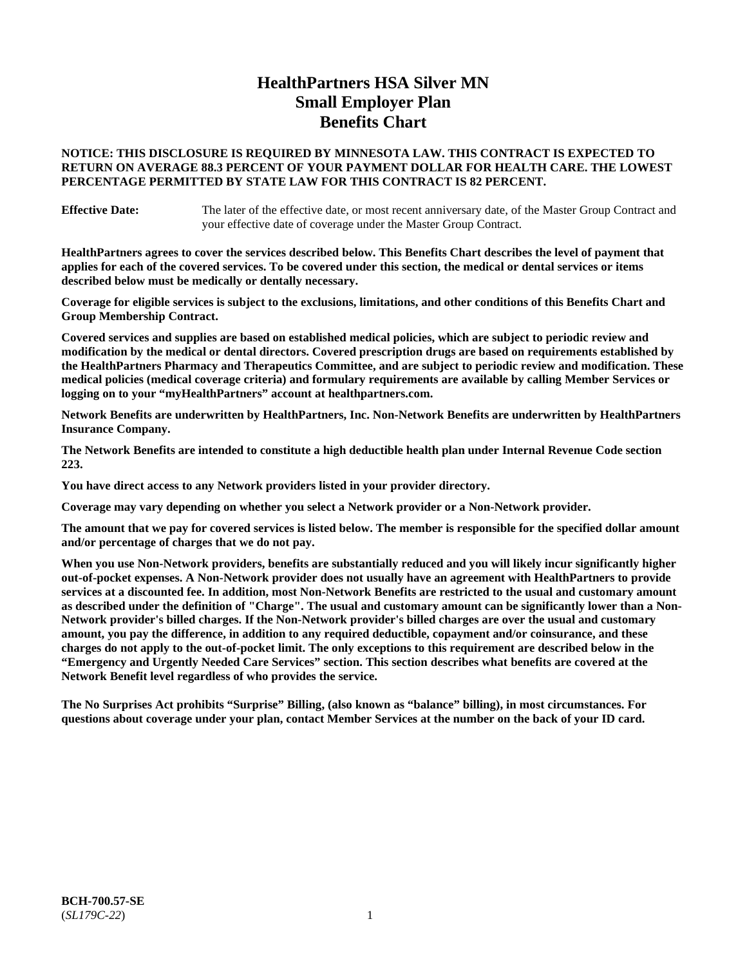# **HealthPartners HSA Silver MN Small Employer Plan Benefits Chart**

# **NOTICE: THIS DISCLOSURE IS REQUIRED BY MINNESOTA LAW. THIS CONTRACT IS EXPECTED TO RETURN ON AVERAGE 88.3 PERCENT OF YOUR PAYMENT DOLLAR FOR HEALTH CARE. THE LOWEST PERCENTAGE PERMITTED BY STATE LAW FOR THIS CONTRACT IS 82 PERCENT.**

**Effective Date:** The later of the effective date, or most recent anniversary date, of the Master Group Contract and your effective date of coverage under the Master Group Contract.

**HealthPartners agrees to cover the services described below. This Benefits Chart describes the level of payment that applies for each of the covered services. To be covered under this section, the medical or dental services or items described below must be medically or dentally necessary.**

**Coverage for eligible services is subject to the exclusions, limitations, and other conditions of this Benefits Chart and Group Membership Contract.**

**Covered services and supplies are based on established medical policies, which are subject to periodic review and modification by the medical or dental directors. Covered prescription drugs are based on requirements established by the HealthPartners Pharmacy and Therapeutics Committee, and are subject to periodic review and modification. These medical policies (medical coverage criteria) and formulary requirements are available by calling Member Services or logging on to your "myHealthPartners" account at [healthpartners.com.](https://www.healthpartners.com/hp/index.html)**

**Network Benefits are underwritten by HealthPartners, Inc. Non-Network Benefits are underwritten by HealthPartners Insurance Company.** 

**The Network Benefits are intended to constitute a high deductible health plan under Internal Revenue Code section 223.** 

**You have direct access to any Network providers listed in your provider directory.**

**Coverage may vary depending on whether you select a Network provider or a Non-Network provider.**

**The amount that we pay for covered services is listed below. The member is responsible for the specified dollar amount and/or percentage of charges that we do not pay.**

**When you use Non-Network providers, benefits are substantially reduced and you will likely incur significantly higher out-of-pocket expenses. A Non-Network provider does not usually have an agreement with HealthPartners to provide services at a discounted fee. In addition, most Non-Network Benefits are restricted to the usual and customary amount as described under the definition of "Charge". The usual and customary amount can be significantly lower than a Non-Network provider's billed charges. If the Non-Network provider's billed charges are over the usual and customary amount, you pay the difference, in addition to any required deductible, copayment and/or coinsurance, and these charges do not apply to the out-of-pocket limit. The only exceptions to this requirement are described below in the "Emergency and Urgently Needed Care Services" section. This section describes what benefits are covered at the Network Benefit level regardless of who provides the service.**

**The No Surprises Act prohibits "Surprise" Billing, (also known as "balance" billing), in most circumstances. For questions about coverage under your plan, contact Member Services at the number on the back of your ID card.**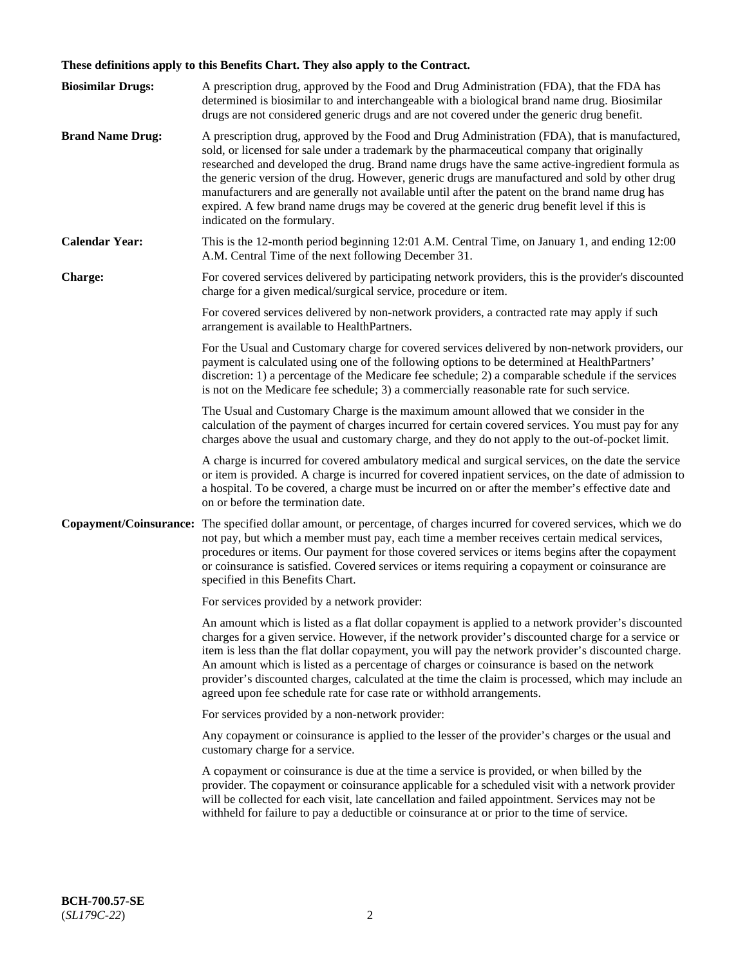# **These definitions apply to this Benefits Chart. They also apply to the Contract.**

| <b>Biosimilar Drugs:</b> | A prescription drug, approved by the Food and Drug Administration (FDA), that the FDA has<br>determined is biosimilar to and interchangeable with a biological brand name drug. Biosimilar<br>drugs are not considered generic drugs and are not covered under the generic drug benefit.                                                                                                                                                                                                                                                                                                                                           |
|--------------------------|------------------------------------------------------------------------------------------------------------------------------------------------------------------------------------------------------------------------------------------------------------------------------------------------------------------------------------------------------------------------------------------------------------------------------------------------------------------------------------------------------------------------------------------------------------------------------------------------------------------------------------|
| <b>Brand Name Drug:</b>  | A prescription drug, approved by the Food and Drug Administration (FDA), that is manufactured,<br>sold, or licensed for sale under a trademark by the pharmaceutical company that originally<br>researched and developed the drug. Brand name drugs have the same active-ingredient formula as<br>the generic version of the drug. However, generic drugs are manufactured and sold by other drug<br>manufacturers and are generally not available until after the patent on the brand name drug has<br>expired. A few brand name drugs may be covered at the generic drug benefit level if this is<br>indicated on the formulary. |
| <b>Calendar Year:</b>    | This is the 12-month period beginning 12:01 A.M. Central Time, on January 1, and ending 12:00<br>A.M. Central Time of the next following December 31.                                                                                                                                                                                                                                                                                                                                                                                                                                                                              |
| <b>Charge:</b>           | For covered services delivered by participating network providers, this is the provider's discounted<br>charge for a given medical/surgical service, procedure or item.                                                                                                                                                                                                                                                                                                                                                                                                                                                            |
|                          | For covered services delivered by non-network providers, a contracted rate may apply if such<br>arrangement is available to HealthPartners.                                                                                                                                                                                                                                                                                                                                                                                                                                                                                        |
|                          | For the Usual and Customary charge for covered services delivered by non-network providers, our<br>payment is calculated using one of the following options to be determined at HealthPartners'<br>discretion: 1) a percentage of the Medicare fee schedule; 2) a comparable schedule if the services<br>is not on the Medicare fee schedule; 3) a commercially reasonable rate for such service.                                                                                                                                                                                                                                  |
|                          | The Usual and Customary Charge is the maximum amount allowed that we consider in the<br>calculation of the payment of charges incurred for certain covered services. You must pay for any<br>charges above the usual and customary charge, and they do not apply to the out-of-pocket limit.                                                                                                                                                                                                                                                                                                                                       |
|                          | A charge is incurred for covered ambulatory medical and surgical services, on the date the service<br>or item is provided. A charge is incurred for covered inpatient services, on the date of admission to<br>a hospital. To be covered, a charge must be incurred on or after the member's effective date and<br>on or before the termination date.                                                                                                                                                                                                                                                                              |
| Copayment/Coinsurance:   | The specified dollar amount, or percentage, of charges incurred for covered services, which we do<br>not pay, but which a member must pay, each time a member receives certain medical services,<br>procedures or items. Our payment for those covered services or items begins after the copayment<br>or coinsurance is satisfied. Covered services or items requiring a copayment or coinsurance are<br>specified in this Benefits Chart.                                                                                                                                                                                        |
|                          | For services provided by a network provider:                                                                                                                                                                                                                                                                                                                                                                                                                                                                                                                                                                                       |
|                          | An amount which is listed as a flat dollar copayment is applied to a network provider's discounted<br>charges for a given service. However, if the network provider's discounted charge for a service or<br>item is less than the flat dollar copayment, you will pay the network provider's discounted charge.<br>An amount which is listed as a percentage of charges or coinsurance is based on the network<br>provider's discounted charges, calculated at the time the claim is processed, which may include an<br>agreed upon fee schedule rate for case rate or withhold arrangements.                                      |
|                          | For services provided by a non-network provider:                                                                                                                                                                                                                                                                                                                                                                                                                                                                                                                                                                                   |
|                          | Any copayment or coinsurance is applied to the lesser of the provider's charges or the usual and<br>customary charge for a service.                                                                                                                                                                                                                                                                                                                                                                                                                                                                                                |
|                          | A copayment or coinsurance is due at the time a service is provided, or when billed by the<br>provider. The copayment or coinsurance applicable for a scheduled visit with a network provider<br>will be collected for each visit, late cancellation and failed appointment. Services may not be<br>withheld for failure to pay a deductible or coinsurance at or prior to the time of service.                                                                                                                                                                                                                                    |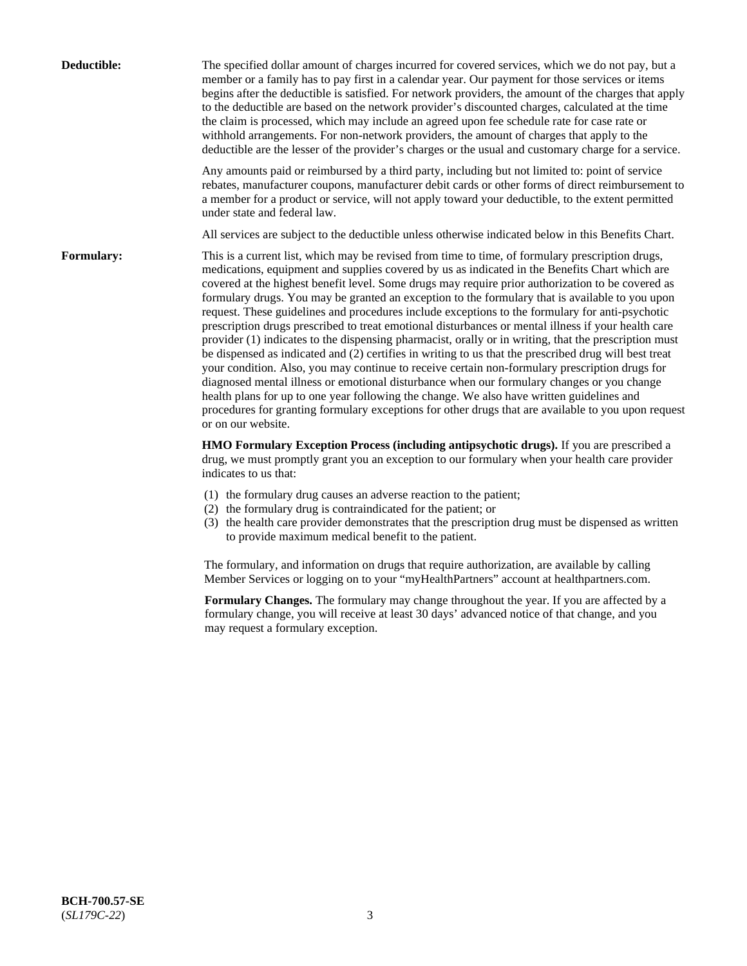| Deductible: | The specified dollar amount of charges incurred for covered services, which we do not pay, but a<br>member or a family has to pay first in a calendar year. Our payment for those services or items<br>begins after the deductible is satisfied. For network providers, the amount of the charges that apply<br>to the deductible are based on the network provider's discounted charges, calculated at the time<br>the claim is processed, which may include an agreed upon fee schedule rate for case rate or<br>withhold arrangements. For non-network providers, the amount of charges that apply to the<br>deductible are the lesser of the provider's charges or the usual and customary charge for a service.                                                                                                                                                                                                                                                                                                                                                                                                                                                                                                                                             |
|-------------|------------------------------------------------------------------------------------------------------------------------------------------------------------------------------------------------------------------------------------------------------------------------------------------------------------------------------------------------------------------------------------------------------------------------------------------------------------------------------------------------------------------------------------------------------------------------------------------------------------------------------------------------------------------------------------------------------------------------------------------------------------------------------------------------------------------------------------------------------------------------------------------------------------------------------------------------------------------------------------------------------------------------------------------------------------------------------------------------------------------------------------------------------------------------------------------------------------------------------------------------------------------|
|             | Any amounts paid or reimbursed by a third party, including but not limited to: point of service<br>rebates, manufacturer coupons, manufacturer debit cards or other forms of direct reimbursement to<br>a member for a product or service, will not apply toward your deductible, to the extent permitted<br>under state and federal law.                                                                                                                                                                                                                                                                                                                                                                                                                                                                                                                                                                                                                                                                                                                                                                                                                                                                                                                        |
|             | All services are subject to the deductible unless otherwise indicated below in this Benefits Chart.                                                                                                                                                                                                                                                                                                                                                                                                                                                                                                                                                                                                                                                                                                                                                                                                                                                                                                                                                                                                                                                                                                                                                              |
| Formulary:  | This is a current list, which may be revised from time to time, of formulary prescription drugs,<br>medications, equipment and supplies covered by us as indicated in the Benefits Chart which are<br>covered at the highest benefit level. Some drugs may require prior authorization to be covered as<br>formulary drugs. You may be granted an exception to the formulary that is available to you upon<br>request. These guidelines and procedures include exceptions to the formulary for anti-psychotic<br>prescription drugs prescribed to treat emotional disturbances or mental illness if your health care<br>provider (1) indicates to the dispensing pharmacist, orally or in writing, that the prescription must<br>be dispensed as indicated and (2) certifies in writing to us that the prescribed drug will best treat<br>your condition. Also, you may continue to receive certain non-formulary prescription drugs for<br>diagnosed mental illness or emotional disturbance when our formulary changes or you change<br>health plans for up to one year following the change. We also have written guidelines and<br>procedures for granting formulary exceptions for other drugs that are available to you upon request<br>or on our website. |
|             | HMO Formulary Exception Process (including antipsychotic drugs). If you are prescribed a<br>drug, we must promptly grant you an exception to our formulary when your health care provider<br>indicates to us that:                                                                                                                                                                                                                                                                                                                                                                                                                                                                                                                                                                                                                                                                                                                                                                                                                                                                                                                                                                                                                                               |
|             | (1) the formulary drug causes an adverse reaction to the patient;<br>(2) the formulary drug is contraindicated for the patient; or<br>(3) the health care provider demonstrates that the prescription drug must be dispensed as written<br>to provide maximum medical benefit to the patient.                                                                                                                                                                                                                                                                                                                                                                                                                                                                                                                                                                                                                                                                                                                                                                                                                                                                                                                                                                    |
|             | The formulary, and information on drugs that require authorization, are available by calling<br>Member Services or logging on to your "myHealthPartners" account at healthpartners.com.                                                                                                                                                                                                                                                                                                                                                                                                                                                                                                                                                                                                                                                                                                                                                                                                                                                                                                                                                                                                                                                                          |
|             | Formulary Changes. The formulary may change throughout the year. If you are affected by a<br>formulary change, you will receive at least 30 days' advanced notice of that change, and you<br>may request a formulary exception.                                                                                                                                                                                                                                                                                                                                                                                                                                                                                                                                                                                                                                                                                                                                                                                                                                                                                                                                                                                                                                  |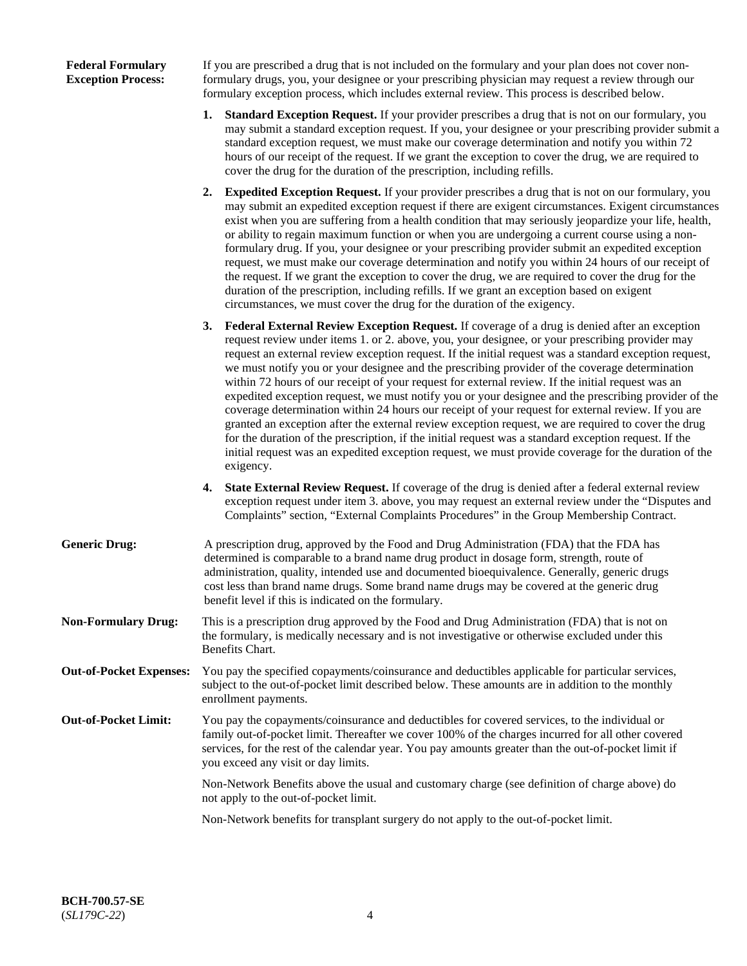# **Federal Formulary Exception Process:**

If you are prescribed a drug that is not included on the formulary and your plan does not cover nonformulary drugs, you, your designee or your prescribing physician may request a review through our formulary exception process, which includes external review. This process is described below.

- **1. Standard Exception Request.** If your provider prescribes a drug that is not on our formulary, you may submit a standard exception request. If you, your designee or your prescribing provider submit a standard exception request, we must make our coverage determination and notify you within 72 hours of our receipt of the request. If we grant the exception to cover the drug, we are required to cover the drug for the duration of the prescription, including refills.
- **2. Expedited Exception Request.** If your provider prescribes a drug that is not on our formulary, you may submit an expedited exception request if there are exigent circumstances. Exigent circumstances exist when you are suffering from a health condition that may seriously jeopardize your life, health, or ability to regain maximum function or when you are undergoing a current course using a nonformulary drug. If you, your designee or your prescribing provider submit an expedited exception request, we must make our coverage determination and notify you within 24 hours of our receipt of the request. If we grant the exception to cover the drug, we are required to cover the drug for the duration of the prescription, including refills. If we grant an exception based on exigent circumstances, we must cover the drug for the duration of the exigency.
- **3. Federal External Review Exception Request.** If coverage of a drug is denied after an exception request review under items 1. or 2. above, you, your designee, or your prescribing provider may request an external review exception request. If the initial request was a standard exception request, we must notify you or your designee and the prescribing provider of the coverage determination within 72 hours of our receipt of your request for external review. If the initial request was an expedited exception request, we must notify you or your designee and the prescribing provider of the coverage determination within 24 hours our receipt of your request for external review. If you are granted an exception after the external review exception request, we are required to cover the drug for the duration of the prescription, if the initial request was a standard exception request. If the initial request was an expedited exception request, we must provide coverage for the duration of the exigency.
- **4. State External Review Request.** If coverage of the drug is denied after a federal external review exception request under item 3. above, you may request an external review under the "Disputes and Complaints" section, "External Complaints Procedures" in the Group Membership Contract.
- **Generic Drug:** A prescription drug, approved by the Food and Drug Administration (FDA) that the FDA has determined is comparable to a brand name drug product in dosage form, strength, route of administration, quality, intended use and documented bioequivalence. Generally, generic drugs cost less than brand name drugs. Some brand name drugs may be covered at the generic drug benefit level if this is indicated on the formulary.
- **Non-Formulary Drug:** This is a prescription drug approved by the Food and Drug Administration (FDA) that is not on the formulary, is medically necessary and is not investigative or otherwise excluded under this Benefits Chart.
- **Out-of-Pocket Expenses:** You pay the specified copayments/coinsurance and deductibles applicable for particular services, subject to the out-of-pocket limit described below. These amounts are in addition to the monthly enrollment payments.
- **Out-of-Pocket Limit:** You pay the copayments/coinsurance and deductibles for covered services, to the individual or family out-of-pocket limit. Thereafter we cover 100% of the charges incurred for all other covered services, for the rest of the calendar year. You pay amounts greater than the out-of-pocket limit if you exceed any visit or day limits.

Non-Network Benefits above the usual and customary charge (see definition of charge above) do not apply to the out-of-pocket limit.

Non-Network benefits for transplant surgery do not apply to the out-of-pocket limit.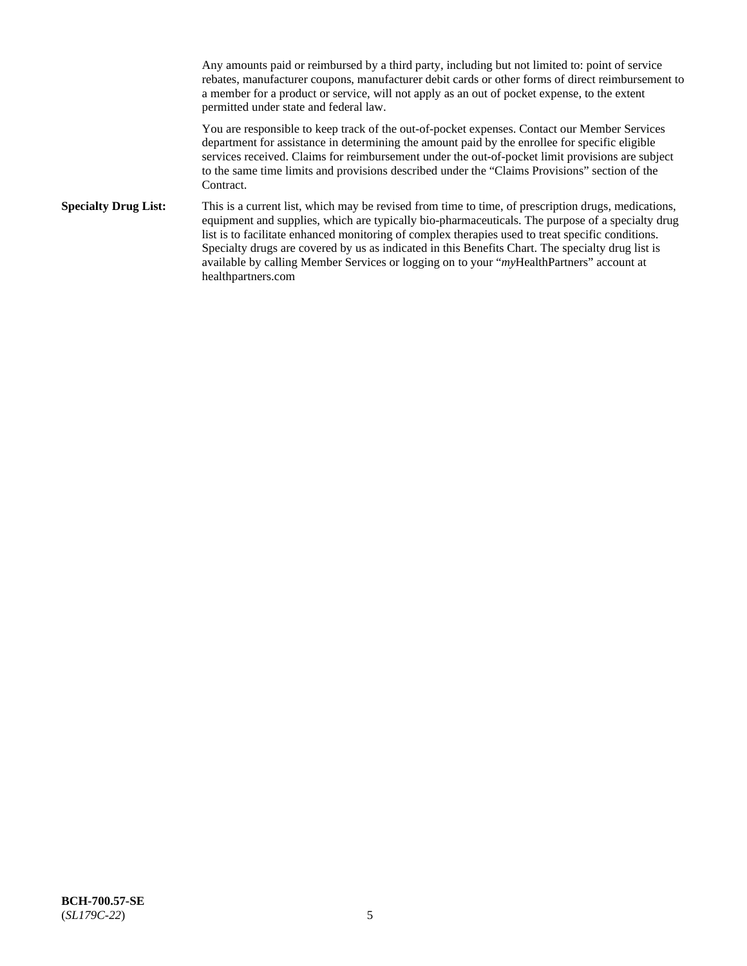Any amounts paid or reimbursed by a third party, including but not limited to: point of service rebates, manufacturer coupons, manufacturer debit cards or other forms of direct reimbursement to a member for a product or service, will not apply as an out of pocket expense, to the extent permitted under state and federal law.

You are responsible to keep track of the out-of-pocket expenses. Contact our Member Services department for assistance in determining the amount paid by the enrollee for specific eligible services received. Claims for reimbursement under the out-of-pocket limit provisions are subject to the same time limits and provisions described under the "Claims Provisions" section of the Contract.

**Specialty Drug List:** This is a current list, which may be revised from time to time, of prescription drugs, medications, equipment and supplies, which are typically bio-pharmaceuticals. The purpose of a specialty drug list is to facilitate enhanced monitoring of complex therapies used to treat specific conditions. Specialty drugs are covered by us as indicated in this Benefits Chart. The specialty drug list is available by calling Member Services or logging on to your "*my*HealthPartners" account at [healthpartners.com](https://www.healthpartners.com/hp/index.html)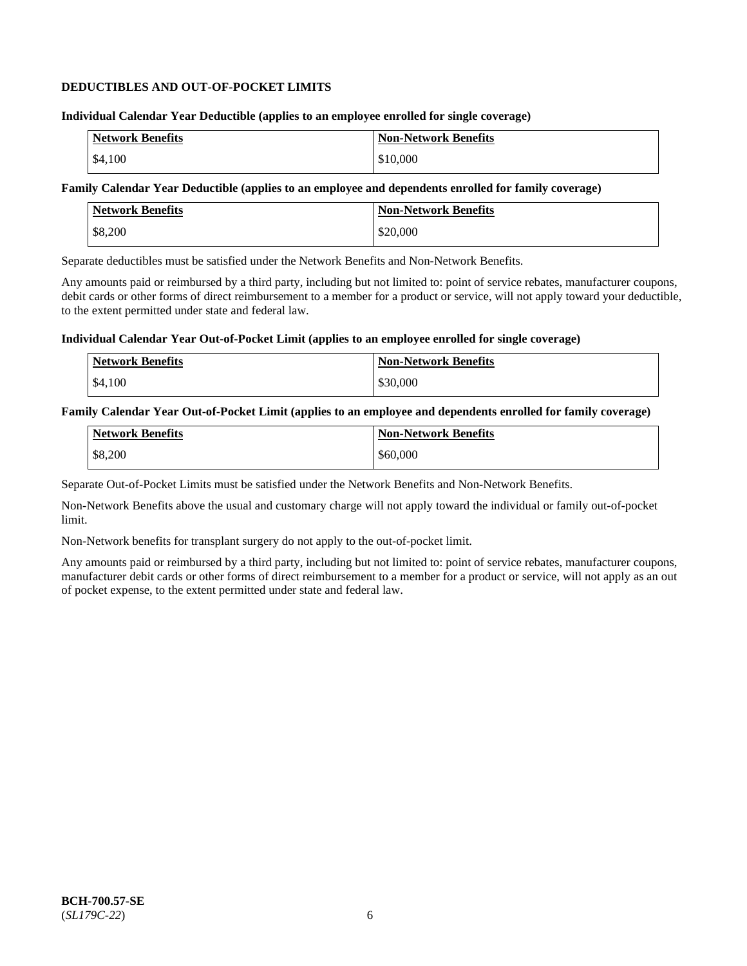# **DEDUCTIBLES AND OUT-OF-POCKET LIMITS**

### **Individual Calendar Year Deductible (applies to an employee enrolled for single coverage)**

| <b>Network Benefits</b> | <b>Non-Network Benefits</b> |
|-------------------------|-----------------------------|
| \$4.100                 | \$10,000                    |

# **Family Calendar Year Deductible (applies to an employee and dependents enrolled for family coverage)**

| Network Benefits | <b>Non-Network Benefits</b> |
|------------------|-----------------------------|
| \$8,200          | \$20,000                    |

Separate deductibles must be satisfied under the Network Benefits and Non-Network Benefits.

Any amounts paid or reimbursed by a third party, including but not limited to: point of service rebates, manufacturer coupons, debit cards or other forms of direct reimbursement to a member for a product or service, will not apply toward your deductible, to the extent permitted under state and federal law.

# **Individual Calendar Year Out-of-Pocket Limit (applies to an employee enrolled for single coverage)**

| Network Benefits | <b>Non-Network Benefits</b> |
|------------------|-----------------------------|
| \$4,100          | \$30,000                    |

# **Family Calendar Year Out-of-Pocket Limit (applies to an employee and dependents enrolled for family coverage)**

| <b>Network Benefits</b> | <b>Non-Network Benefits</b> |
|-------------------------|-----------------------------|
| \$8,200                 | \$60,000                    |

Separate Out-of-Pocket Limits must be satisfied under the Network Benefits and Non-Network Benefits.

Non-Network Benefits above the usual and customary charge will not apply toward the individual or family out-of-pocket limit.

Non-Network benefits for transplant surgery do not apply to the out-of-pocket limit.

Any amounts paid or reimbursed by a third party, including but not limited to: point of service rebates, manufacturer coupons, manufacturer debit cards or other forms of direct reimbursement to a member for a product or service, will not apply as an out of pocket expense, to the extent permitted under state and federal law.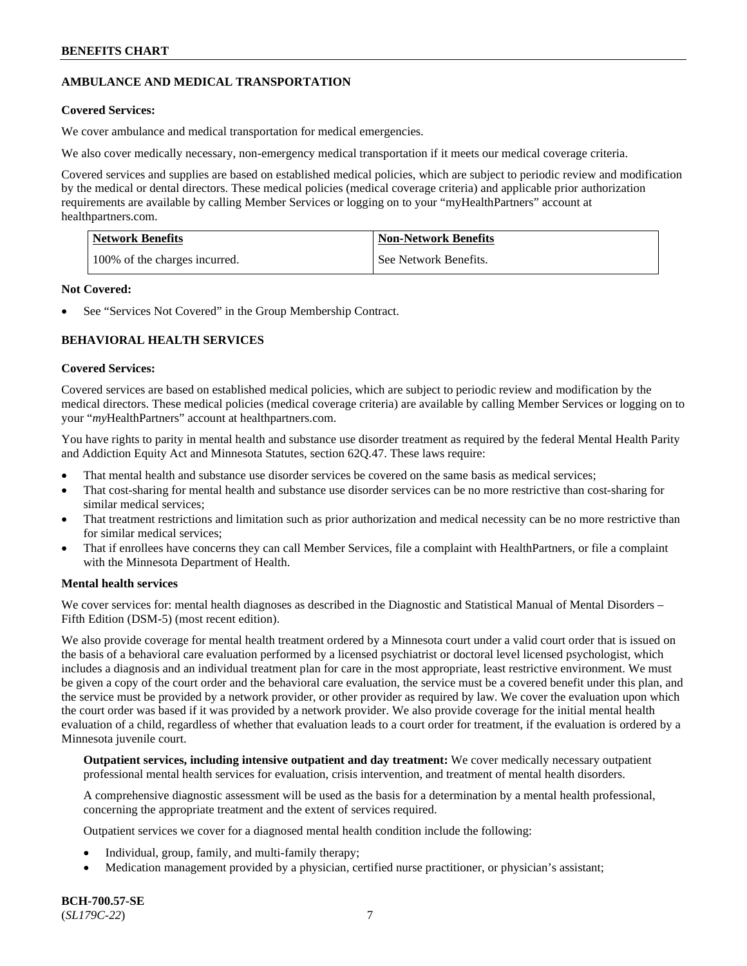# **AMBULANCE AND MEDICAL TRANSPORTATION**

# **Covered Services:**

We cover ambulance and medical transportation for medical emergencies.

We also cover medically necessary, non-emergency medical transportation if it meets our medical coverage criteria.

Covered services and supplies are based on established medical policies, which are subject to periodic review and modification by the medical or dental directors. These medical policies (medical coverage criteria) and applicable prior authorization requirements are available by calling Member Services or logging on to your "myHealthPartners" account at [healthpartners.com.](https://www.healthpartners.com/hp/index.html)

| <b>Network Benefits</b>       | <b>Non-Network Benefits</b> |
|-------------------------------|-----------------------------|
| 100% of the charges incurred. | See Network Benefits.       |

### **Not Covered:**

See "Services Not Covered" in the Group Membership Contract.

# **BEHAVIORAL HEALTH SERVICES**

### **Covered Services:**

Covered services are based on established medical policies, which are subject to periodic review and modification by the medical directors. These medical policies (medical coverage criteria) are available by calling Member Services or logging on to your "*my*HealthPartners" account at [healthpartners.com.](http://www.healthpartners.com/)

You have rights to parity in mental health and substance use disorder treatment as required by the federal Mental Health Parity and Addiction Equity Act and Minnesota Statutes, section 62Q.47. These laws require:

- That mental health and substance use disorder services be covered on the same basis as medical services;
- That cost-sharing for mental health and substance use disorder services can be no more restrictive than cost-sharing for similar medical services;
- That treatment restrictions and limitation such as prior authorization and medical necessity can be no more restrictive than for similar medical services;
- That if enrollees have concerns they can call Member Services, file a complaint with HealthPartners, or file a complaint with the Minnesota Department of Health.

# **Mental health services**

We cover services for: mental health diagnoses as described in the Diagnostic and Statistical Manual of Mental Disorders – Fifth Edition (DSM-5) (most recent edition).

We also provide coverage for mental health treatment ordered by a Minnesota court under a valid court order that is issued on the basis of a behavioral care evaluation performed by a licensed psychiatrist or doctoral level licensed psychologist, which includes a diagnosis and an individual treatment plan for care in the most appropriate, least restrictive environment. We must be given a copy of the court order and the behavioral care evaluation, the service must be a covered benefit under this plan, and the service must be provided by a network provider, or other provider as required by law. We cover the evaluation upon which the court order was based if it was provided by a network provider. We also provide coverage for the initial mental health evaluation of a child, regardless of whether that evaluation leads to a court order for treatment, if the evaluation is ordered by a Minnesota juvenile court.

**Outpatient services, including intensive outpatient and day treatment:** We cover medically necessary outpatient professional mental health services for evaluation, crisis intervention, and treatment of mental health disorders.

A comprehensive diagnostic assessment will be used as the basis for a determination by a mental health professional, concerning the appropriate treatment and the extent of services required.

Outpatient services we cover for a diagnosed mental health condition include the following:

- Individual, group, family, and multi-family therapy;
- Medication management provided by a physician, certified nurse practitioner, or physician's assistant;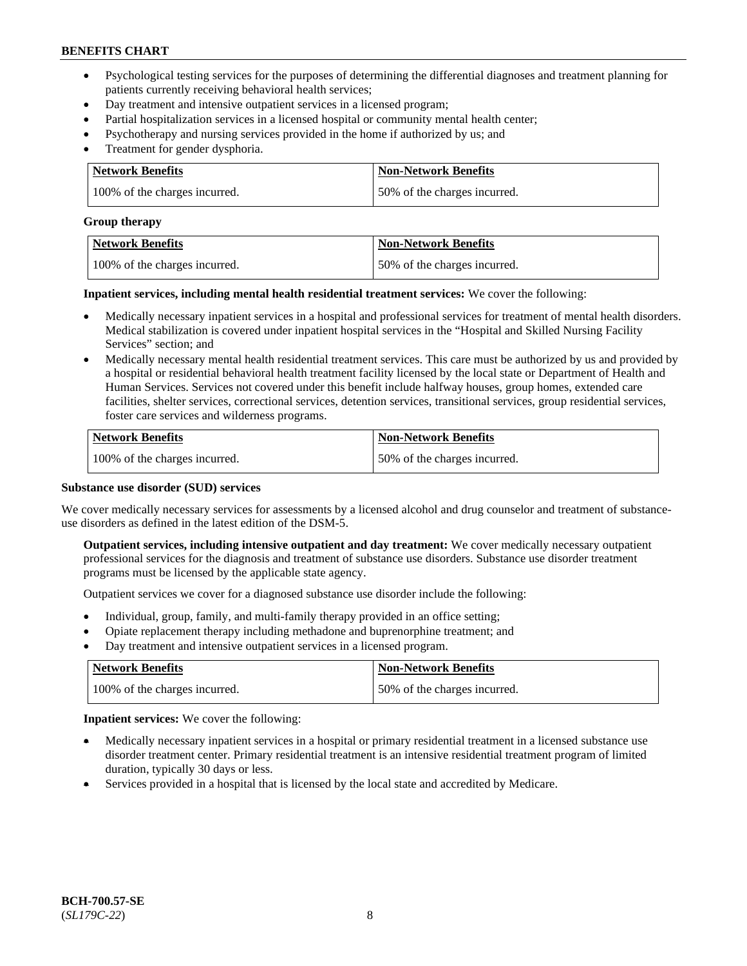- Psychological testing services for the purposes of determining the differential diagnoses and treatment planning for patients currently receiving behavioral health services;
- Day treatment and intensive outpatient services in a licensed program;
- Partial hospitalization services in a licensed hospital or community mental health center;
- Psychotherapy and nursing services provided in the home if authorized by us; and
- Treatment for gender dysphoria.

| Network Benefits              | <b>Non-Network Benefits</b>  |
|-------------------------------|------------------------------|
| 100% of the charges incurred. | 50% of the charges incurred. |

#### **Group therapy**

| Network Benefits              | <b>Non-Network Benefits</b>  |
|-------------------------------|------------------------------|
| 100% of the charges incurred. | 50% of the charges incurred. |

**Inpatient services, including mental health residential treatment services:** We cover the following:

- Medically necessary inpatient services in a hospital and professional services for treatment of mental health disorders. Medical stabilization is covered under inpatient hospital services in the "Hospital and Skilled Nursing Facility Services" section; and
- Medically necessary mental health residential treatment services. This care must be authorized by us and provided by a hospital or residential behavioral health treatment facility licensed by the local state or Department of Health and Human Services. Services not covered under this benefit include halfway houses, group homes, extended care facilities, shelter services, correctional services, detention services, transitional services, group residential services, foster care services and wilderness programs.

| <b>Network Benefits</b>       | <b>Non-Network Benefits</b>  |
|-------------------------------|------------------------------|
| 100% of the charges incurred. | 50% of the charges incurred. |

### **Substance use disorder (SUD) services**

We cover medically necessary services for assessments by a licensed alcohol and drug counselor and treatment of substanceuse disorders as defined in the latest edition of the DSM-5.

**Outpatient services, including intensive outpatient and day treatment:** We cover medically necessary outpatient professional services for the diagnosis and treatment of substance use disorders. Substance use disorder treatment programs must be licensed by the applicable state agency.

Outpatient services we cover for a diagnosed substance use disorder include the following:

- Individual, group, family, and multi-family therapy provided in an office setting;
- Opiate replacement therapy including methadone and buprenorphine treatment; and
- Day treatment and intensive outpatient services in a licensed program.

| Network Benefits              | <b>Non-Network Benefits</b>  |
|-------------------------------|------------------------------|
| 100% of the charges incurred. | 50% of the charges incurred. |

**Inpatient services:** We cover the following:

- Medically necessary inpatient services in a hospital or primary residential treatment in a licensed substance use disorder treatment center. Primary residential treatment is an intensive residential treatment program of limited duration, typically 30 days or less.
- Services provided in a hospital that is licensed by the local state and accredited by Medicare.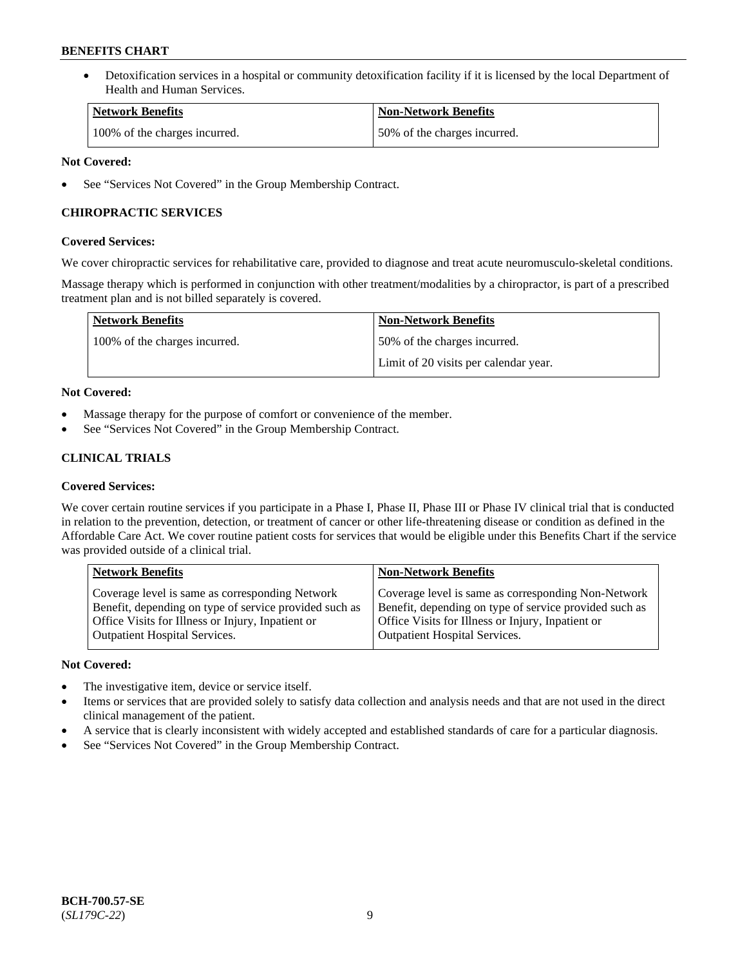• Detoxification services in a hospital or community detoxification facility if it is licensed by the local Department of Health and Human Services.

| <b>Network Benefits</b>       | <b>Non-Network Benefits</b>  |
|-------------------------------|------------------------------|
| 100% of the charges incurred. | 50% of the charges incurred. |

# **Not Covered:**

See "Services Not Covered" in the Group Membership Contract.

# **CHIROPRACTIC SERVICES**

# **Covered Services:**

We cover chiropractic services for rehabilitative care, provided to diagnose and treat acute neuromusculo-skeletal conditions.

Massage therapy which is performed in conjunction with other treatment/modalities by a chiropractor, is part of a prescribed treatment plan and is not billed separately is covered.

| <b>Network Benefits</b>       | <b>Non-Network Benefits</b>           |
|-------------------------------|---------------------------------------|
| 100% of the charges incurred. | 50% of the charges incurred.          |
|                               | Limit of 20 visits per calendar year. |

# **Not Covered:**

- Massage therapy for the purpose of comfort or convenience of the member.
- See "Services Not Covered" in the Group Membership Contract.

# **CLINICAL TRIALS**

# **Covered Services:**

We cover certain routine services if you participate in a Phase I, Phase II, Phase III or Phase IV clinical trial that is conducted in relation to the prevention, detection, or treatment of cancer or other life-threatening disease or condition as defined in the Affordable Care Act. We cover routine patient costs for services that would be eligible under this Benefits Chart if the service was provided outside of a clinical trial.

| <b>Network Benefits</b>                                | <b>Non-Network Benefits</b>                            |
|--------------------------------------------------------|--------------------------------------------------------|
| Coverage level is same as corresponding Network        | Coverage level is same as corresponding Non-Network    |
| Benefit, depending on type of service provided such as | Benefit, depending on type of service provided such as |
| Office Visits for Illness or Injury, Inpatient or      | Office Visits for Illness or Injury, Inpatient or      |
| <b>Outpatient Hospital Services.</b>                   | Outpatient Hospital Services.                          |

# **Not Covered:**

- The investigative item, device or service itself.
- Items or services that are provided solely to satisfy data collection and analysis needs and that are not used in the direct clinical management of the patient.
- A service that is clearly inconsistent with widely accepted and established standards of care for a particular diagnosis.
- See "Services Not Covered" in the Group Membership Contract.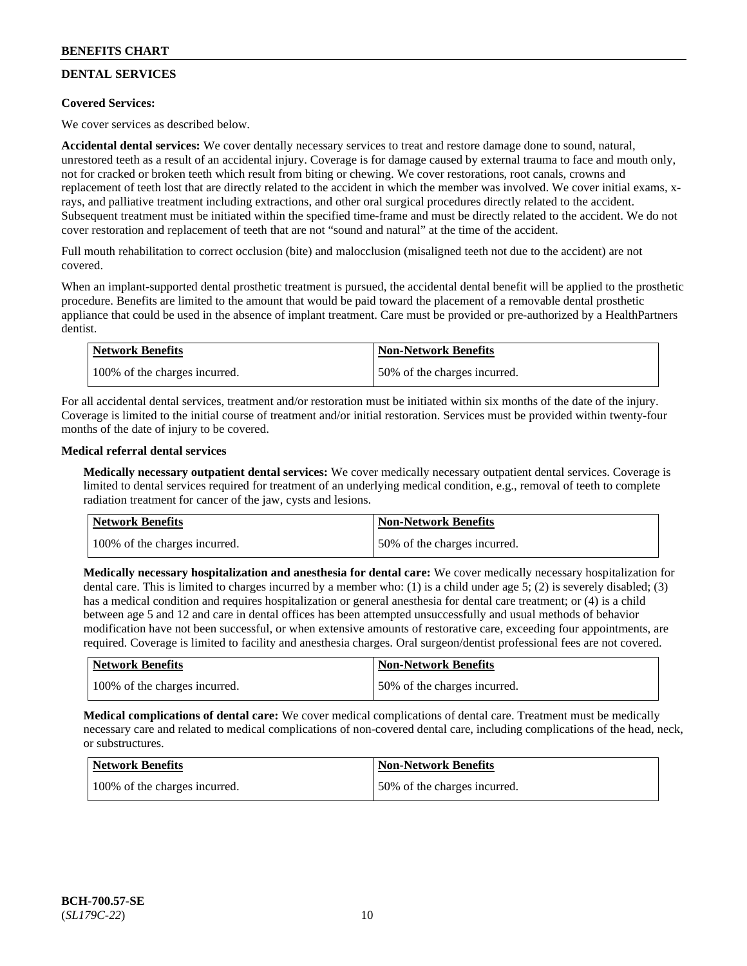# **DENTAL SERVICES**

# **Covered Services:**

We cover services as described below.

**Accidental dental services:** We cover dentally necessary services to treat and restore damage done to sound, natural, unrestored teeth as a result of an accidental injury. Coverage is for damage caused by external trauma to face and mouth only, not for cracked or broken teeth which result from biting or chewing. We cover restorations, root canals, crowns and replacement of teeth lost that are directly related to the accident in which the member was involved. We cover initial exams, xrays, and palliative treatment including extractions, and other oral surgical procedures directly related to the accident. Subsequent treatment must be initiated within the specified time-frame and must be directly related to the accident. We do not cover restoration and replacement of teeth that are not "sound and natural" at the time of the accident.

Full mouth rehabilitation to correct occlusion (bite) and malocclusion (misaligned teeth not due to the accident) are not covered.

When an implant-supported dental prosthetic treatment is pursued, the accidental dental benefit will be applied to the prosthetic procedure. Benefits are limited to the amount that would be paid toward the placement of a removable dental prosthetic appliance that could be used in the absence of implant treatment. Care must be provided or pre-authorized by a HealthPartners dentist.

| Network Benefits              | <b>Non-Network Benefits</b>  |
|-------------------------------|------------------------------|
| 100% of the charges incurred. | 50% of the charges incurred. |

For all accidental dental services, treatment and/or restoration must be initiated within six months of the date of the injury. Coverage is limited to the initial course of treatment and/or initial restoration. Services must be provided within twenty-four months of the date of injury to be covered.

### **Medical referral dental services**

**Medically necessary outpatient dental services:** We cover medically necessary outpatient dental services. Coverage is limited to dental services required for treatment of an underlying medical condition, e.g., removal of teeth to complete radiation treatment for cancer of the jaw, cysts and lesions.

| Network Benefits              | <b>Non-Network Benefits</b>  |
|-------------------------------|------------------------------|
| 100% of the charges incurred. | 50% of the charges incurred. |

**Medically necessary hospitalization and anesthesia for dental care:** We cover medically necessary hospitalization for dental care. This is limited to charges incurred by a member who: (1) is a child under age 5; (2) is severely disabled; (3) has a medical condition and requires hospitalization or general anesthesia for dental care treatment; or (4) is a child between age 5 and 12 and care in dental offices has been attempted unsuccessfully and usual methods of behavior modification have not been successful, or when extensive amounts of restorative care, exceeding four appointments, are required. Coverage is limited to facility and anesthesia charges. Oral surgeon/dentist professional fees are not covered.

| <b>Network Benefits</b>       | <b>Non-Network Benefits</b>  |
|-------------------------------|------------------------------|
| 100% of the charges incurred. | 50% of the charges incurred. |

**Medical complications of dental care:** We cover medical complications of dental care. Treatment must be medically necessary care and related to medical complications of non-covered dental care, including complications of the head, neck, or substructures.

| <b>Network Benefits</b>       | <b>Non-Network Benefits</b>  |
|-------------------------------|------------------------------|
| 100% of the charges incurred. | 50% of the charges incurred. |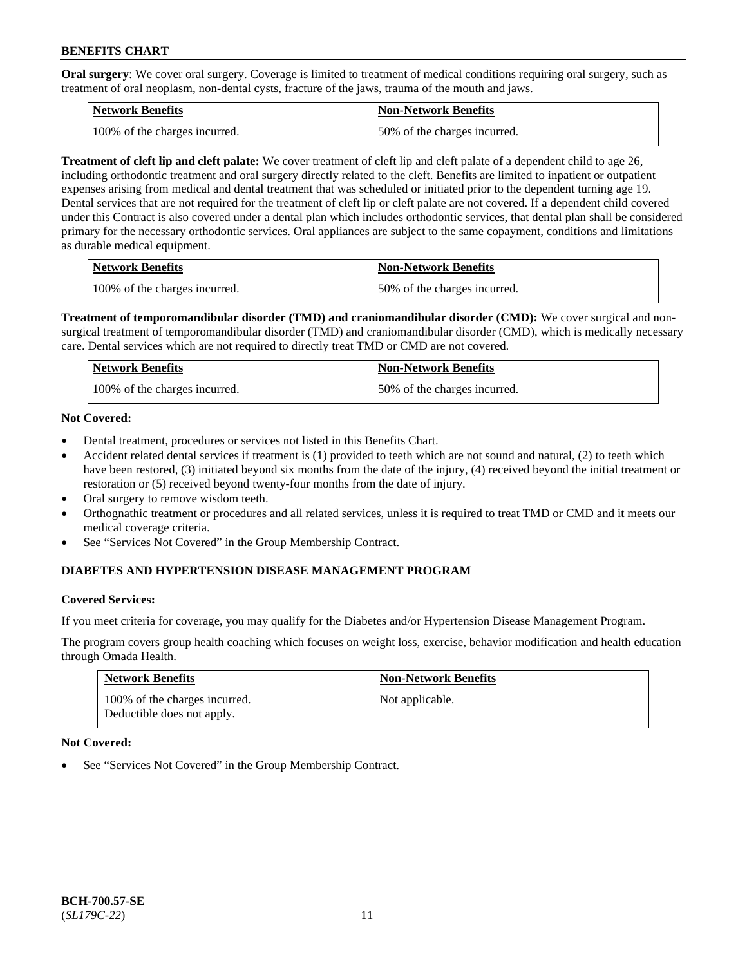**Oral surgery**: We cover oral surgery. Coverage is limited to treatment of medical conditions requiring oral surgery, such as treatment of oral neoplasm, non-dental cysts, fracture of the jaws, trauma of the mouth and jaws.

| Network Benefits              | <b>Non-Network Benefits</b>  |
|-------------------------------|------------------------------|
| 100% of the charges incurred. | 50% of the charges incurred. |

**Treatment of cleft lip and cleft palate:** We cover treatment of cleft lip and cleft palate of a dependent child to age 26, including orthodontic treatment and oral surgery directly related to the cleft. Benefits are limited to inpatient or outpatient expenses arising from medical and dental treatment that was scheduled or initiated prior to the dependent turning age 19. Dental services that are not required for the treatment of cleft lip or cleft palate are not covered. If a dependent child covered under this Contract is also covered under a dental plan which includes orthodontic services, that dental plan shall be considered primary for the necessary orthodontic services. Oral appliances are subject to the same copayment, conditions and limitations as durable medical equipment.

| <b>Network Benefits</b>       | <b>Non-Network Benefits</b>  |
|-------------------------------|------------------------------|
| 100% of the charges incurred. | 50% of the charges incurred. |

**Treatment of temporomandibular disorder (TMD) and craniomandibular disorder (CMD):** We cover surgical and nonsurgical treatment of temporomandibular disorder (TMD) and craniomandibular disorder (CMD), which is medically necessary care. Dental services which are not required to directly treat TMD or CMD are not covered.

| Network Benefits              | <b>Non-Network Benefits</b>  |
|-------------------------------|------------------------------|
| 100% of the charges incurred. | 50% of the charges incurred. |

# **Not Covered:**

- Dental treatment, procedures or services not listed in this Benefits Chart.
- Accident related dental services if treatment is (1) provided to teeth which are not sound and natural, (2) to teeth which have been restored, (3) initiated beyond six months from the date of the injury, (4) received beyond the initial treatment or restoration or (5) received beyond twenty-four months from the date of injury.
- Oral surgery to remove wisdom teeth.
- Orthognathic treatment or procedures and all related services, unless it is required to treat TMD or CMD and it meets our medical coverage criteria.
- See "Services Not Covered" in the Group Membership Contract.

# **DIABETES AND HYPERTENSION DISEASE MANAGEMENT PROGRAM**

#### **Covered Services:**

If you meet criteria for coverage, you may qualify for the Diabetes and/or Hypertension Disease Management Program.

The program covers group health coaching which focuses on weight loss, exercise, behavior modification and health education through Omada Health.

| <b>Network Benefits</b>                                     | <b>Non-Network Benefits</b> |
|-------------------------------------------------------------|-----------------------------|
| 100% of the charges incurred.<br>Deductible does not apply. | Not applicable.             |

#### **Not Covered:**

See "Services Not Covered" in the Group Membership Contract.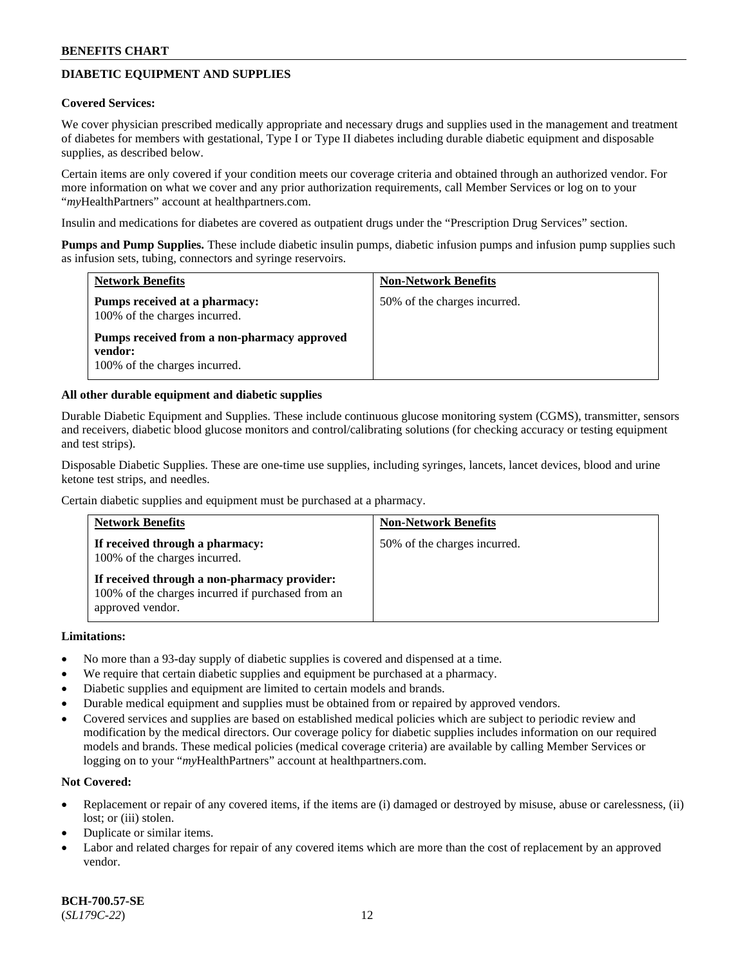# **DIABETIC EQUIPMENT AND SUPPLIES**

#### **Covered Services:**

We cover physician prescribed medically appropriate and necessary drugs and supplies used in the management and treatment of diabetes for members with gestational, Type I or Type II diabetes including durable diabetic equipment and disposable supplies, as described below.

Certain items are only covered if your condition meets our coverage criteria and obtained through an authorized vendor. For more information on what we cover and any prior authorization requirements, call Member Services or log on to your "*my*HealthPartners" account at [healthpartners.com.](http://www.healthpartners.com/)

Insulin and medications for diabetes are covered as outpatient drugs under the "Prescription Drug Services" section.

**Pumps and Pump Supplies.** These include diabetic insulin pumps, diabetic infusion pumps and infusion pump supplies such as infusion sets, tubing, connectors and syringe reservoirs.

| <b>Network Benefits</b>                                                                 | <b>Non-Network Benefits</b>  |
|-----------------------------------------------------------------------------------------|------------------------------|
| <b>Pumps received at a pharmacy:</b><br>100% of the charges incurred.                   | 50% of the charges incurred. |
| Pumps received from a non-pharmacy approved<br>vendor:<br>100% of the charges incurred. |                              |

### **All other durable equipment and diabetic supplies**

Durable Diabetic Equipment and Supplies. These include continuous glucose monitoring system (CGMS), transmitter, sensors and receivers, diabetic blood glucose monitors and control/calibrating solutions (for checking accuracy or testing equipment and test strips).

Disposable Diabetic Supplies. These are one-time use supplies, including syringes, lancets, lancet devices, blood and urine ketone test strips, and needles.

Certain diabetic supplies and equipment must be purchased at a pharmacy.

| <b>Network Benefits</b>                                                                                               | <b>Non-Network Benefits</b>  |
|-----------------------------------------------------------------------------------------------------------------------|------------------------------|
| If received through a pharmacy:<br>100% of the charges incurred.                                                      | 50% of the charges incurred. |
| If received through a non-pharmacy provider:<br>100% of the charges incurred if purchased from an<br>approved vendor. |                              |

#### **Limitations:**

- No more than a 93-day supply of diabetic supplies is covered and dispensed at a time.
- We require that certain diabetic supplies and equipment be purchased at a pharmacy.
- Diabetic supplies and equipment are limited to certain models and brands.
- Durable medical equipment and supplies must be obtained from or repaired by approved vendors.
- Covered services and supplies are based on established medical policies which are subject to periodic review and modification by the medical directors. Our coverage policy for diabetic supplies includes information on our required models and brands. These medical policies (medical coverage criteria) are available by calling Member Services or logging on to your "*my*HealthPartners" account at [healthpartners.com.](http://www.healthpartners.com/)

# **Not Covered:**

- Replacement or repair of any covered items, if the items are (i) damaged or destroyed by misuse, abuse or carelessness, (ii) lost; or (iii) stolen.
- Duplicate or similar items.
- Labor and related charges for repair of any covered items which are more than the cost of replacement by an approved vendor.

**BCH-700.57-SE** (*SL179C-22*) 12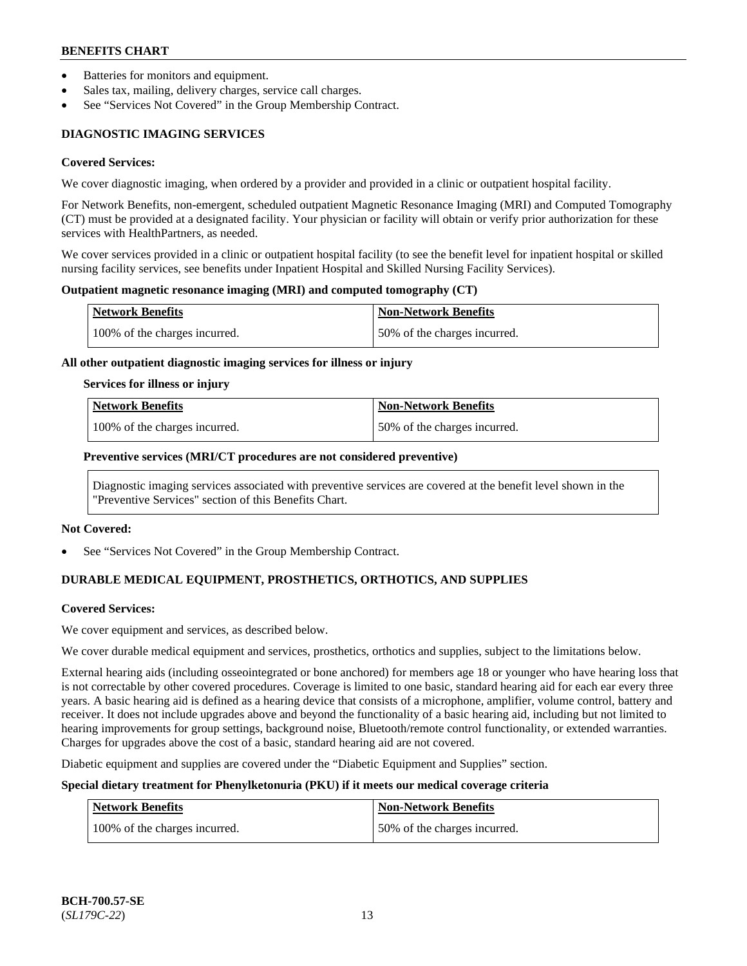- Batteries for monitors and equipment.
- Sales tax, mailing, delivery charges, service call charges.
- See "Services Not Covered" in the Group Membership Contract.

# **DIAGNOSTIC IMAGING SERVICES**

#### **Covered Services:**

We cover diagnostic imaging, when ordered by a provider and provided in a clinic or outpatient hospital facility.

For Network Benefits, non-emergent, scheduled outpatient Magnetic Resonance Imaging (MRI) and Computed Tomography (CT) must be provided at a designated facility. Your physician or facility will obtain or verify prior authorization for these services with HealthPartners, as needed.

We cover services provided in a clinic or outpatient hospital facility (to see the benefit level for inpatient hospital or skilled nursing facility services, see benefits under Inpatient Hospital and Skilled Nursing Facility Services).

#### **Outpatient magnetic resonance imaging (MRI) and computed tomography (CT)**

| <b>Network Benefits</b>       | <b>Non-Network Benefits</b>  |
|-------------------------------|------------------------------|
| 100% of the charges incurred. | 50% of the charges incurred. |

#### **All other outpatient diagnostic imaging services for illness or injury**

#### **Services for illness or injury**

| Network Benefits              | <b>Non-Network Benefits</b>  |
|-------------------------------|------------------------------|
| 100% of the charges incurred. | 50% of the charges incurred. |

### **Preventive services (MRI/CT procedures are not considered preventive)**

Diagnostic imaging services associated with preventive services are covered at the benefit level shown in the "Preventive Services" section of this Benefits Chart.

#### **Not Covered:**

See "Services Not Covered" in the Group Membership Contract.

# **DURABLE MEDICAL EQUIPMENT, PROSTHETICS, ORTHOTICS, AND SUPPLIES**

#### **Covered Services:**

We cover equipment and services, as described below.

We cover durable medical equipment and services, prosthetics, orthotics and supplies, subject to the limitations below.

External hearing aids (including osseointegrated or bone anchored) for members age 18 or younger who have hearing loss that is not correctable by other covered procedures. Coverage is limited to one basic, standard hearing aid for each ear every three years. A basic hearing aid is defined as a hearing device that consists of a microphone, amplifier, volume control, battery and receiver. It does not include upgrades above and beyond the functionality of a basic hearing aid, including but not limited to hearing improvements for group settings, background noise, Bluetooth/remote control functionality, or extended warranties. Charges for upgrades above the cost of a basic, standard hearing aid are not covered.

Diabetic equipment and supplies are covered under the "Diabetic Equipment and Supplies" section.

# **Special dietary treatment for Phenylketonuria (PKU) if it meets our medical coverage criteria**

| <b>Network Benefits</b>       | Non-Network Benefits         |
|-------------------------------|------------------------------|
| 100% of the charges incurred. | 50% of the charges incurred. |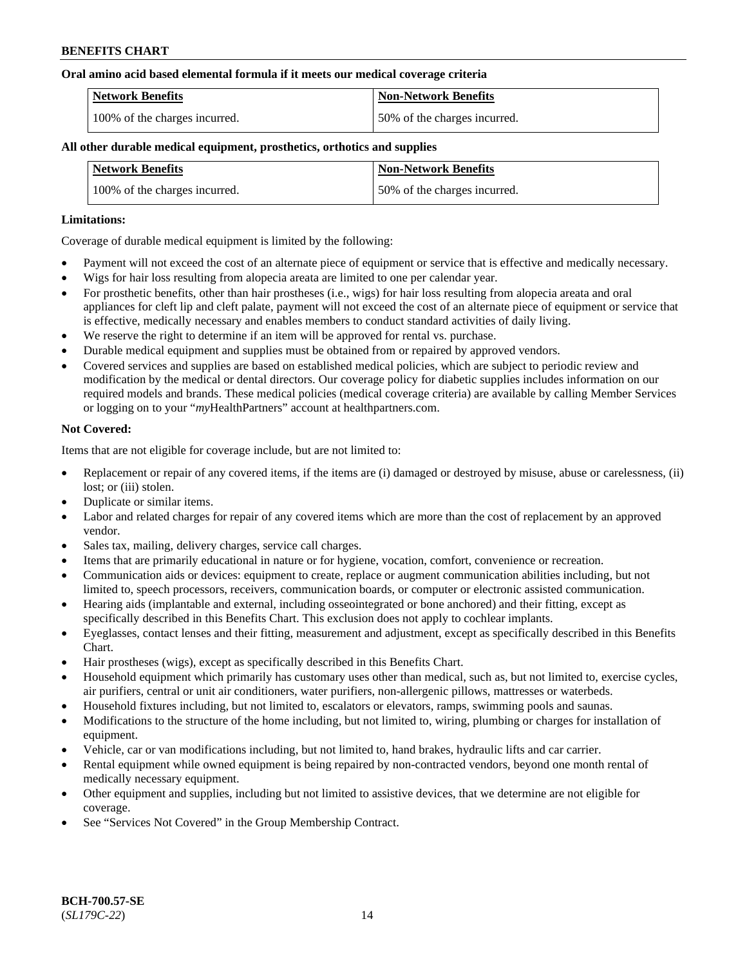### **Oral amino acid based elemental formula if it meets our medical coverage criteria**

| Network Benefits              | <b>Non-Network Benefits</b>  |
|-------------------------------|------------------------------|
| 100% of the charges incurred. | 50% of the charges incurred. |

### **All other durable medical equipment, prosthetics, orthotics and supplies**

| <b>Network Benefits</b>       | <b>Non-Network Benefits</b>  |
|-------------------------------|------------------------------|
| 100% of the charges incurred. | 50% of the charges incurred. |

### **Limitations:**

Coverage of durable medical equipment is limited by the following:

- Payment will not exceed the cost of an alternate piece of equipment or service that is effective and medically necessary.
- Wigs for hair loss resulting from alopecia areata are limited to one per calendar year.
- For prosthetic benefits, other than hair prostheses (i.e., wigs) for hair loss resulting from alopecia areata and oral appliances for cleft lip and cleft palate, payment will not exceed the cost of an alternate piece of equipment or service that is effective, medically necessary and enables members to conduct standard activities of daily living.
- We reserve the right to determine if an item will be approved for rental vs. purchase.
- Durable medical equipment and supplies must be obtained from or repaired by approved vendors.
- Covered services and supplies are based on established medical policies, which are subject to periodic review and modification by the medical or dental directors. Our coverage policy for diabetic supplies includes information on our required models and brands. These medical policies (medical coverage criteria) are available by calling Member Services or logging on to your "*my*HealthPartners" account a[t healthpartners.com.](https://www.healthpartners.com/hp/index.html)

### **Not Covered:**

Items that are not eligible for coverage include, but are not limited to:

- Replacement or repair of any covered items, if the items are (i) damaged or destroyed by misuse, abuse or carelessness, (ii) lost; or (iii) stolen.
- Duplicate or similar items.
- Labor and related charges for repair of any covered items which are more than the cost of replacement by an approved vendor.
- Sales tax, mailing, delivery charges, service call charges.
- Items that are primarily educational in nature or for hygiene, vocation, comfort, convenience or recreation.
- Communication aids or devices: equipment to create, replace or augment communication abilities including, but not limited to, speech processors, receivers, communication boards, or computer or electronic assisted communication.
- Hearing aids (implantable and external, including osseointegrated or bone anchored) and their fitting, except as specifically described in this Benefits Chart. This exclusion does not apply to cochlear implants.
- Eyeglasses, contact lenses and their fitting, measurement and adjustment, except as specifically described in this Benefits Chart.
- Hair prostheses (wigs), except as specifically described in this Benefits Chart.
- Household equipment which primarily has customary uses other than medical, such as, but not limited to, exercise cycles, air purifiers, central or unit air conditioners, water purifiers, non-allergenic pillows, mattresses or waterbeds.
- Household fixtures including, but not limited to, escalators or elevators, ramps, swimming pools and saunas.
- Modifications to the structure of the home including, but not limited to, wiring, plumbing or charges for installation of equipment.
- Vehicle, car or van modifications including, but not limited to, hand brakes, hydraulic lifts and car carrier.
- Rental equipment while owned equipment is being repaired by non-contracted vendors, beyond one month rental of medically necessary equipment.
- Other equipment and supplies, including but not limited to assistive devices, that we determine are not eligible for coverage.
- See "Services Not Covered" in the Group Membership Contract.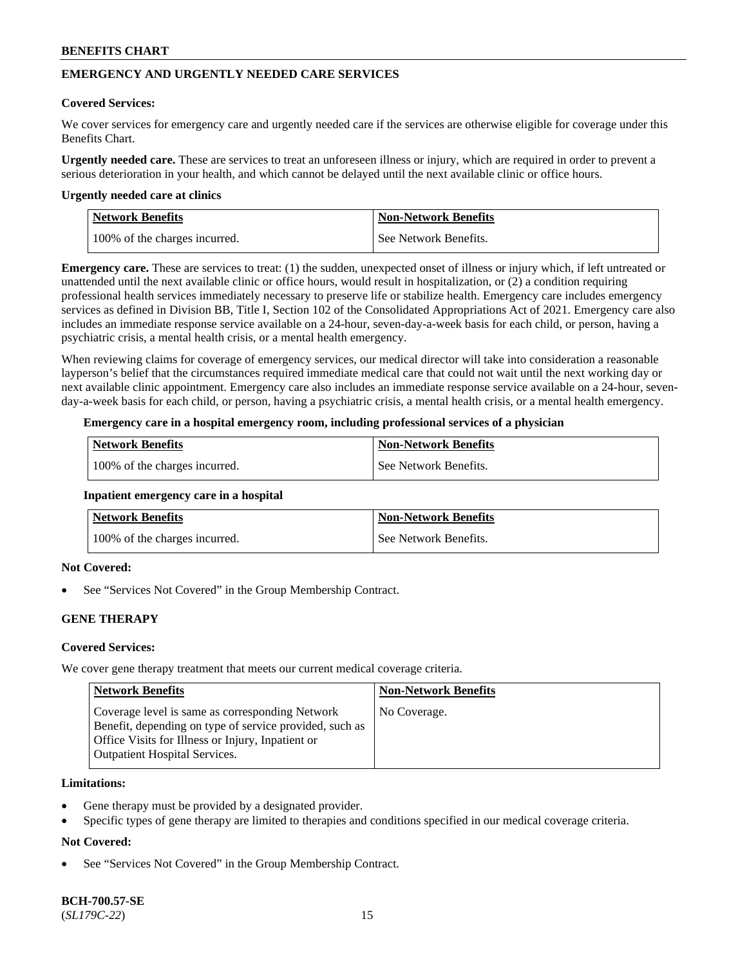# **EMERGENCY AND URGENTLY NEEDED CARE SERVICES**

### **Covered Services:**

We cover services for emergency care and urgently needed care if the services are otherwise eligible for coverage under this Benefits Chart.

**Urgently needed care.** These are services to treat an unforeseen illness or injury, which are required in order to prevent a serious deterioration in your health, and which cannot be delayed until the next available clinic or office hours.

#### **Urgently needed care at clinics**

| Network Benefits              | <b>Non-Network Benefits</b> |
|-------------------------------|-----------------------------|
| 100% of the charges incurred. | See Network Benefits.       |

**Emergency care.** These are services to treat: (1) the sudden, unexpected onset of illness or injury which, if left untreated or unattended until the next available clinic or office hours, would result in hospitalization, or (2) a condition requiring professional health services immediately necessary to preserve life or stabilize health. Emergency care includes emergency services as defined in Division BB, Title I, Section 102 of the Consolidated Appropriations Act of 2021. Emergency care also includes an immediate response service available on a 24-hour, seven-day-a-week basis for each child, or person, having a psychiatric crisis, a mental health crisis, or a mental health emergency.

When reviewing claims for coverage of emergency services, our medical director will take into consideration a reasonable layperson's belief that the circumstances required immediate medical care that could not wait until the next working day or next available clinic appointment. Emergency care also includes an immediate response service available on a 24-hour, sevenday-a-week basis for each child, or person, having a psychiatric crisis, a mental health crisis, or a mental health emergency.

### **Emergency care in a hospital emergency room, including professional services of a physician**

| <b>Network Benefits</b>       | <b>Non-Network Benefits</b> |
|-------------------------------|-----------------------------|
| 100% of the charges incurred. | See Network Benefits.       |

#### **Inpatient emergency care in a hospital**

| <b>Network Benefits</b>       | <b>Non-Network Benefits</b> |
|-------------------------------|-----------------------------|
| 100% of the charges incurred. | See Network Benefits.       |

# **Not Covered:**

See "Services Not Covered" in the Group Membership Contract.

# **GENE THERAPY**

# **Covered Services:**

We cover gene therapy treatment that meets our current medical coverage criteria.

| <b>Network Benefits</b>                                                                                                                                                                                 | <b>Non-Network Benefits</b> |
|---------------------------------------------------------------------------------------------------------------------------------------------------------------------------------------------------------|-----------------------------|
| Coverage level is same as corresponding Network<br>Benefit, depending on type of service provided, such as<br>Office Visits for Illness or Injury, Inpatient or<br><b>Outpatient Hospital Services.</b> | No Coverage.                |

### **Limitations:**

- Gene therapy must be provided by a designated provider.
- Specific types of gene therapy are limited to therapies and conditions specified in our medical coverage criteria.

# **Not Covered:**

See "Services Not Covered" in the Group Membership Contract.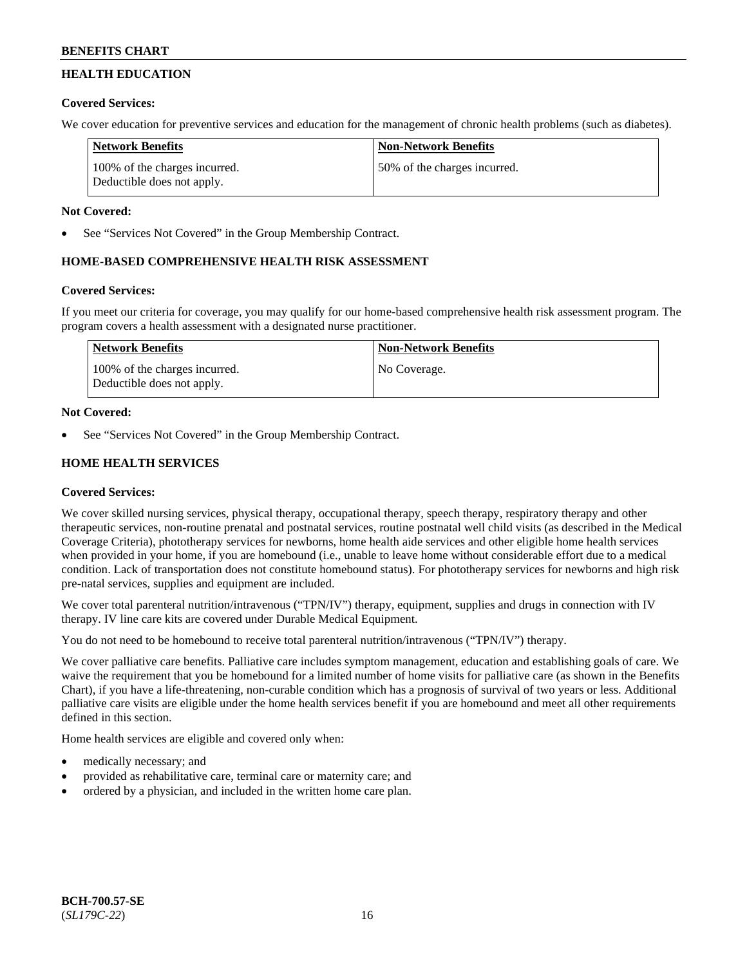# **HEALTH EDUCATION**

# **Covered Services:**

We cover education for preventive services and education for the management of chronic health problems (such as diabetes).

| <b>Network Benefits</b>                                     | <b>Non-Network Benefits</b>  |
|-------------------------------------------------------------|------------------------------|
| 100% of the charges incurred.<br>Deductible does not apply. | 50% of the charges incurred. |

# **Not Covered:**

See "Services Not Covered" in the Group Membership Contract.

# **HOME-BASED COMPREHENSIVE HEALTH RISK ASSESSMENT**

# **Covered Services:**

If you meet our criteria for coverage, you may qualify for our home-based comprehensive health risk assessment program. The program covers a health assessment with a designated nurse practitioner.

| Network Benefits                                            | <b>Non-Network Benefits</b> |
|-------------------------------------------------------------|-----------------------------|
| 100% of the charges incurred.<br>Deductible does not apply. | No Coverage.                |

# **Not Covered:**

See "Services Not Covered" in the Group Membership Contract.

# **HOME HEALTH SERVICES**

# **Covered Services:**

We cover skilled nursing services, physical therapy, occupational therapy, speech therapy, respiratory therapy and other therapeutic services, non-routine prenatal and postnatal services, routine postnatal well child visits (as described in the Medical Coverage Criteria), phototherapy services for newborns, home health aide services and other eligible home health services when provided in your home, if you are homebound (i.e., unable to leave home without considerable effort due to a medical condition. Lack of transportation does not constitute homebound status). For phototherapy services for newborns and high risk pre-natal services, supplies and equipment are included.

We cover total parenteral nutrition/intravenous ("TPN/IV") therapy, equipment, supplies and drugs in connection with IV therapy. IV line care kits are covered under Durable Medical Equipment.

You do not need to be homebound to receive total parenteral nutrition/intravenous ("TPN/IV") therapy.

We cover palliative care benefits. Palliative care includes symptom management, education and establishing goals of care. We waive the requirement that you be homebound for a limited number of home visits for palliative care (as shown in the Benefits Chart), if you have a life-threatening, non-curable condition which has a prognosis of survival of two years or less. Additional palliative care visits are eligible under the home health services benefit if you are homebound and meet all other requirements defined in this section.

Home health services are eligible and covered only when:

- medically necessary; and
- provided as rehabilitative care, terminal care or maternity care; and
- ordered by a physician, and included in the written home care plan.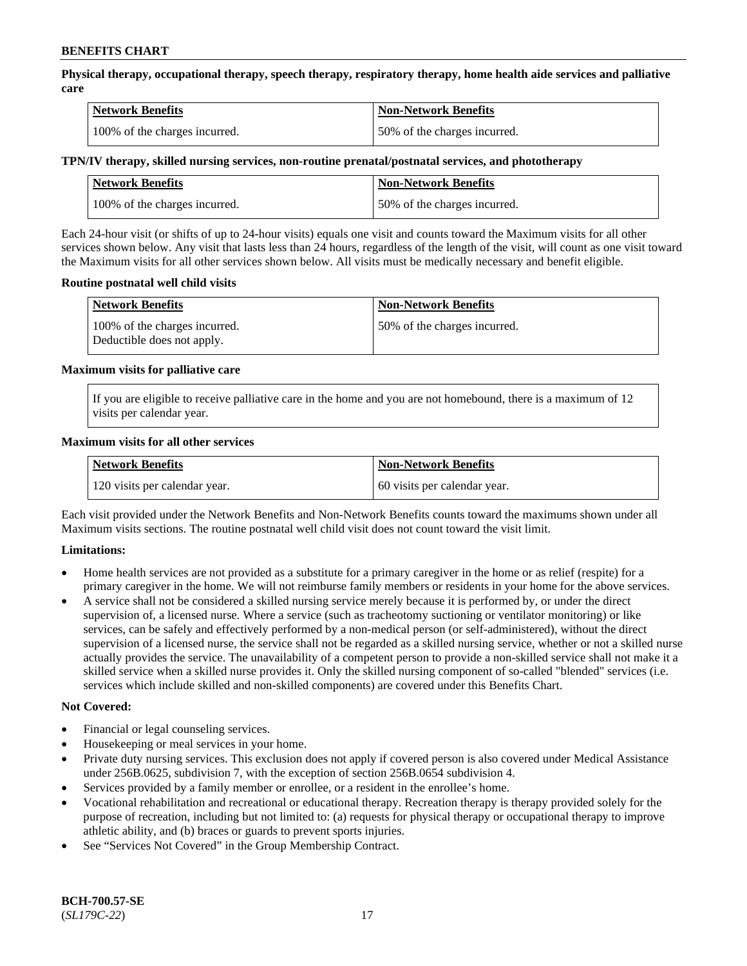**Physical therapy, occupational therapy, speech therapy, respiratory therapy, home health aide services and palliative care**

| <b>Network Benefits</b>       | <b>Non-Network Benefits</b>  |
|-------------------------------|------------------------------|
| 100% of the charges incurred. | 50% of the charges incurred. |

### **TPN/IV therapy, skilled nursing services, non-routine prenatal/postnatal services, and phototherapy**

| Network Benefits              | <b>Non-Network Benefits</b>  |
|-------------------------------|------------------------------|
| 100% of the charges incurred. | 50% of the charges incurred. |

Each 24-hour visit (or shifts of up to 24-hour visits) equals one visit and counts toward the Maximum visits for all other services shown below. Any visit that lasts less than 24 hours, regardless of the length of the visit, will count as one visit toward the Maximum visits for all other services shown below. All visits must be medically necessary and benefit eligible.

### **Routine postnatal well child visits**

| <b>Network Benefits</b>                                     | <b>Non-Network Benefits</b>  |
|-------------------------------------------------------------|------------------------------|
| 100% of the charges incurred.<br>Deductible does not apply. | 50% of the charges incurred. |

### **Maximum visits for palliative care**

If you are eligible to receive palliative care in the home and you are not homebound, there is a maximum of 12 visits per calendar year.

### **Maximum visits for all other services**

| <b>Network Benefits</b>       | <b>Non-Network Benefits</b>  |
|-------------------------------|------------------------------|
| 120 visits per calendar year. | 60 visits per calendar year. |

Each visit provided under the Network Benefits and Non-Network Benefits counts toward the maximums shown under all Maximum visits sections. The routine postnatal well child visit does not count toward the visit limit.

# **Limitations:**

- Home health services are not provided as a substitute for a primary caregiver in the home or as relief (respite) for a primary caregiver in the home. We will not reimburse family members or residents in your home for the above services.
- A service shall not be considered a skilled nursing service merely because it is performed by, or under the direct supervision of, a licensed nurse. Where a service (such as tracheotomy suctioning or ventilator monitoring) or like services, can be safely and effectively performed by a non-medical person (or self-administered), without the direct supervision of a licensed nurse, the service shall not be regarded as a skilled nursing service, whether or not a skilled nurse actually provides the service. The unavailability of a competent person to provide a non-skilled service shall not make it a skilled service when a skilled nurse provides it. Only the skilled nursing component of so-called "blended" services (i.e. services which include skilled and non-skilled components) are covered under this Benefits Chart.

#### **Not Covered:**

- Financial or legal counseling services.
- Housekeeping or meal services in your home.
- Private duty nursing services. This exclusion does not apply if covered person is also covered under Medical Assistance under 256B.0625, subdivision 7, with the exception of section 256B.0654 subdivision 4.
- Services provided by a family member or enrollee, or a resident in the enrollee's home.
- Vocational rehabilitation and recreational or educational therapy. Recreation therapy is therapy provided solely for the purpose of recreation, including but not limited to: (a) requests for physical therapy or occupational therapy to improve athletic ability, and (b) braces or guards to prevent sports injuries.
- See "Services Not Covered" in the Group Membership Contract.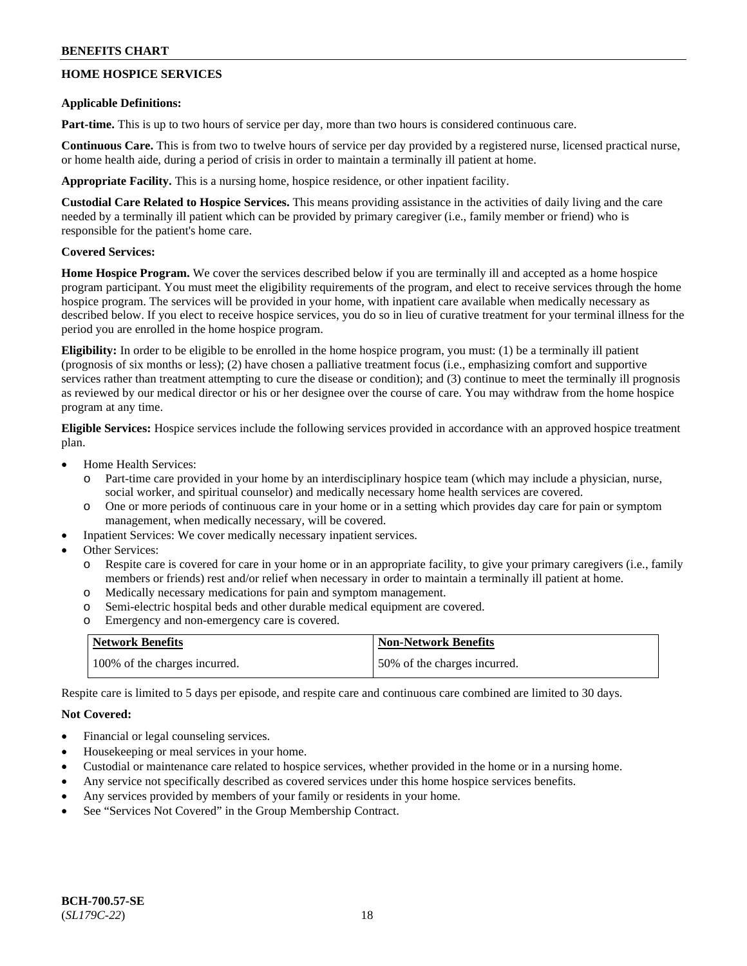# **HOME HOSPICE SERVICES**

### **Applicable Definitions:**

**Part-time.** This is up to two hours of service per day, more than two hours is considered continuous care.

**Continuous Care.** This is from two to twelve hours of service per day provided by a registered nurse, licensed practical nurse, or home health aide, during a period of crisis in order to maintain a terminally ill patient at home.

**Appropriate Facility.** This is a nursing home, hospice residence, or other inpatient facility.

**Custodial Care Related to Hospice Services.** This means providing assistance in the activities of daily living and the care needed by a terminally ill patient which can be provided by primary caregiver (i.e., family member or friend) who is responsible for the patient's home care.

# **Covered Services:**

**Home Hospice Program.** We cover the services described below if you are terminally ill and accepted as a home hospice program participant. You must meet the eligibility requirements of the program, and elect to receive services through the home hospice program. The services will be provided in your home, with inpatient care available when medically necessary as described below. If you elect to receive hospice services, you do so in lieu of curative treatment for your terminal illness for the period you are enrolled in the home hospice program.

**Eligibility:** In order to be eligible to be enrolled in the home hospice program, you must: (1) be a terminally ill patient (prognosis of six months or less); (2) have chosen a palliative treatment focus (i.e., emphasizing comfort and supportive services rather than treatment attempting to cure the disease or condition); and (3) continue to meet the terminally ill prognosis as reviewed by our medical director or his or her designee over the course of care. You may withdraw from the home hospice program at any time.

**Eligible Services:** Hospice services include the following services provided in accordance with an approved hospice treatment plan.

- Home Health Services:
	- o Part-time care provided in your home by an interdisciplinary hospice team (which may include a physician, nurse, social worker, and spiritual counselor) and medically necessary home health services are covered.
	- o One or more periods of continuous care in your home or in a setting which provides day care for pain or symptom management, when medically necessary, will be covered.
- Inpatient Services: We cover medically necessary inpatient services.
- Other Services:
	- o Respite care is covered for care in your home or in an appropriate facility, to give your primary caregivers (i.e., family members or friends) rest and/or relief when necessary in order to maintain a terminally ill patient at home.
	- o Medically necessary medications for pain and symptom management.
	- o Semi-electric hospital beds and other durable medical equipment are covered.
	- o Emergency and non-emergency care is covered.

| <b>Network Benefits</b>       | <b>Non-Network Benefits</b>  |
|-------------------------------|------------------------------|
| 100% of the charges incurred. | 50% of the charges incurred. |

Respite care is limited to 5 days per episode, and respite care and continuous care combined are limited to 30 days.

# **Not Covered:**

- Financial or legal counseling services.
- Housekeeping or meal services in your home.
- Custodial or maintenance care related to hospice services, whether provided in the home or in a nursing home.
- Any service not specifically described as covered services under this home hospice services benefits.
- Any services provided by members of your family or residents in your home.
- See "Services Not Covered" in the Group Membership Contract.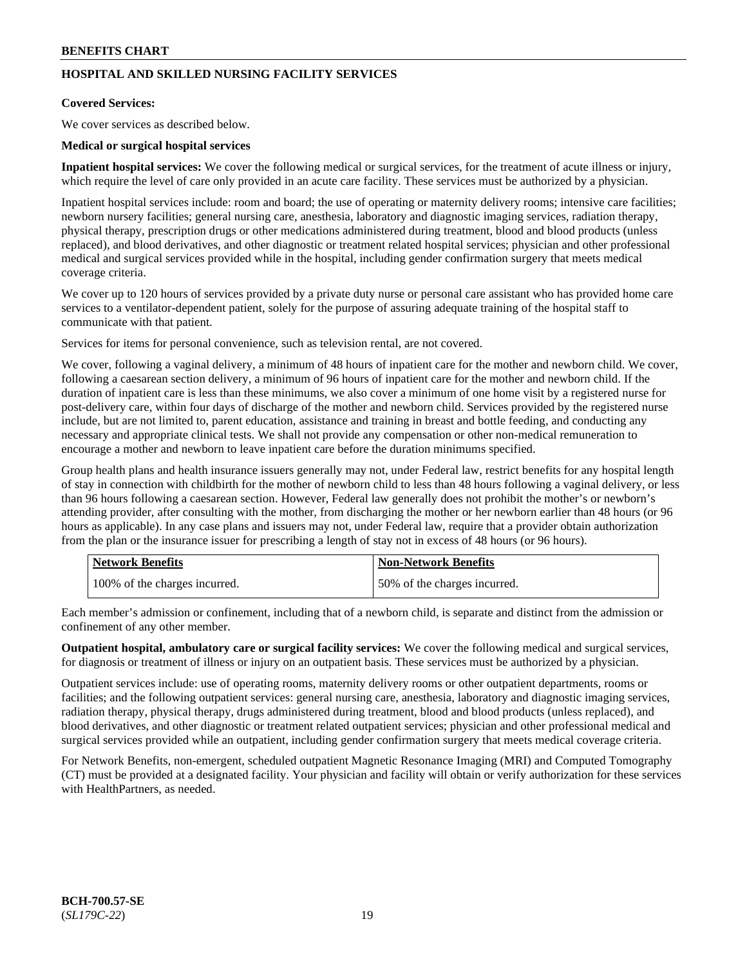# **HOSPITAL AND SKILLED NURSING FACILITY SERVICES**

### **Covered Services:**

We cover services as described below.

### **Medical or surgical hospital services**

**Inpatient hospital services:** We cover the following medical or surgical services, for the treatment of acute illness or injury, which require the level of care only provided in an acute care facility. These services must be authorized by a physician.

Inpatient hospital services include: room and board; the use of operating or maternity delivery rooms; intensive care facilities; newborn nursery facilities; general nursing care, anesthesia, laboratory and diagnostic imaging services, radiation therapy, physical therapy, prescription drugs or other medications administered during treatment, blood and blood products (unless replaced), and blood derivatives, and other diagnostic or treatment related hospital services; physician and other professional medical and surgical services provided while in the hospital, including gender confirmation surgery that meets medical coverage criteria.

We cover up to 120 hours of services provided by a private duty nurse or personal care assistant who has provided home care services to a ventilator-dependent patient, solely for the purpose of assuring adequate training of the hospital staff to communicate with that patient.

Services for items for personal convenience, such as television rental, are not covered.

We cover, following a vaginal delivery, a minimum of 48 hours of inpatient care for the mother and newborn child. We cover, following a caesarean section delivery, a minimum of 96 hours of inpatient care for the mother and newborn child. If the duration of inpatient care is less than these minimums, we also cover a minimum of one home visit by a registered nurse for post-delivery care, within four days of discharge of the mother and newborn child. Services provided by the registered nurse include, but are not limited to, parent education, assistance and training in breast and bottle feeding, and conducting any necessary and appropriate clinical tests. We shall not provide any compensation or other non-medical remuneration to encourage a mother and newborn to leave inpatient care before the duration minimums specified.

Group health plans and health insurance issuers generally may not, under Federal law, restrict benefits for any hospital length of stay in connection with childbirth for the mother of newborn child to less than 48 hours following a vaginal delivery, or less than 96 hours following a caesarean section. However, Federal law generally does not prohibit the mother's or newborn's attending provider, after consulting with the mother, from discharging the mother or her newborn earlier than 48 hours (or 96 hours as applicable). In any case plans and issuers may not, under Federal law, require that a provider obtain authorization from the plan or the insurance issuer for prescribing a length of stay not in excess of 48 hours (or 96 hours).

| <b>Network Benefits</b>       | <b>Non-Network Benefits</b>  |
|-------------------------------|------------------------------|
| 100% of the charges incurred. | 50% of the charges incurred. |

Each member's admission or confinement, including that of a newborn child, is separate and distinct from the admission or confinement of any other member.

**Outpatient hospital, ambulatory care or surgical facility services:** We cover the following medical and surgical services, for diagnosis or treatment of illness or injury on an outpatient basis. These services must be authorized by a physician.

Outpatient services include: use of operating rooms, maternity delivery rooms or other outpatient departments, rooms or facilities; and the following outpatient services: general nursing care, anesthesia, laboratory and diagnostic imaging services, radiation therapy, physical therapy, drugs administered during treatment, blood and blood products (unless replaced), and blood derivatives, and other diagnostic or treatment related outpatient services; physician and other professional medical and surgical services provided while an outpatient, including gender confirmation surgery that meets medical coverage criteria.

For Network Benefits, non-emergent, scheduled outpatient Magnetic Resonance Imaging (MRI) and Computed Tomography (CT) must be provided at a designated facility. Your physician and facility will obtain or verify authorization for these services with HealthPartners, as needed.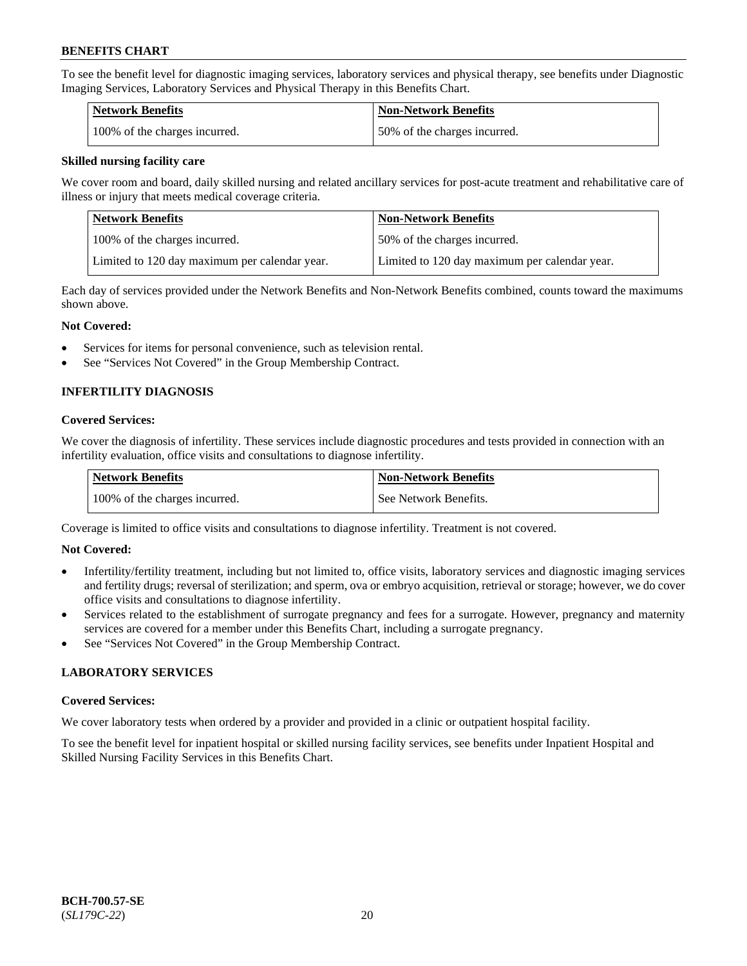To see the benefit level for diagnostic imaging services, laboratory services and physical therapy, see benefits under Diagnostic Imaging Services, Laboratory Services and Physical Therapy in this Benefits Chart.

| <b>Network Benefits</b>       | Non-Network Benefits         |
|-------------------------------|------------------------------|
| 100% of the charges incurred. | 50% of the charges incurred. |

### **Skilled nursing facility care**

We cover room and board, daily skilled nursing and related ancillary services for post-acute treatment and rehabilitative care of illness or injury that meets medical coverage criteria.

| Network Benefits                              | <b>Non-Network Benefits</b>                   |
|-----------------------------------------------|-----------------------------------------------|
| 100% of the charges incurred.                 | 150% of the charges incurred.                 |
| Limited to 120 day maximum per calendar year. | Limited to 120 day maximum per calendar year. |

Each day of services provided under the Network Benefits and Non-Network Benefits combined, counts toward the maximums shown above.

### **Not Covered:**

- Services for items for personal convenience, such as television rental.
- See "Services Not Covered" in the Group Membership Contract.

# **INFERTILITY DIAGNOSIS**

### **Covered Services:**

We cover the diagnosis of infertility. These services include diagnostic procedures and tests provided in connection with an infertility evaluation, office visits and consultations to diagnose infertility.

| <b>Network Benefits</b>       | <b>Non-Network Benefits</b> |
|-------------------------------|-----------------------------|
| 100% of the charges incurred. | See Network Benefits.       |

Coverage is limited to office visits and consultations to diagnose infertility. Treatment is not covered.

# **Not Covered:**

- Infertility/fertility treatment, including but not limited to, office visits, laboratory services and diagnostic imaging services and fertility drugs; reversal of sterilization; and sperm, ova or embryo acquisition, retrieval or storage; however, we do cover office visits and consultations to diagnose infertility.
- Services related to the establishment of surrogate pregnancy and fees for a surrogate. However, pregnancy and maternity services are covered for a member under this Benefits Chart, including a surrogate pregnancy.
- See "Services Not Covered" in the Group Membership Contract.

# **LABORATORY SERVICES**

#### **Covered Services:**

We cover laboratory tests when ordered by a provider and provided in a clinic or outpatient hospital facility.

To see the benefit level for inpatient hospital or skilled nursing facility services, see benefits under Inpatient Hospital and Skilled Nursing Facility Services in this Benefits Chart.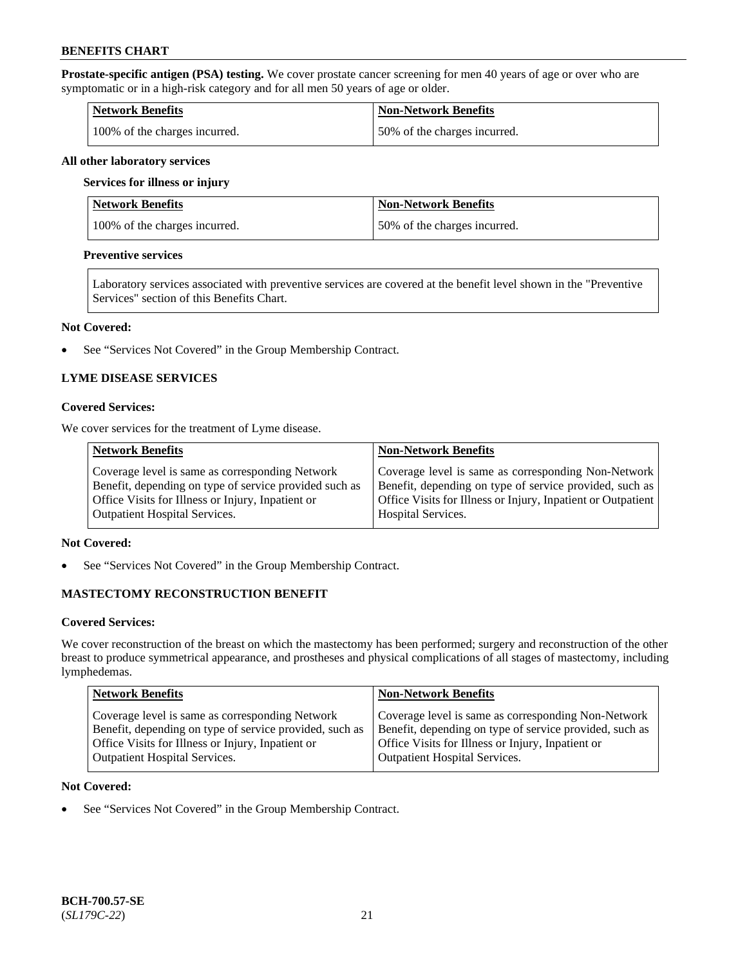**Prostate-specific antigen (PSA) testing.** We cover prostate cancer screening for men 40 years of age or over who are symptomatic or in a high-risk category and for all men 50 years of age or older.

| <b>Network Benefits</b>       | <b>Non-Network Benefits</b>   |
|-------------------------------|-------------------------------|
| 100% of the charges incurred. | 150% of the charges incurred. |

#### **All other laboratory services**

#### **Services for illness or injury**

| Network Benefits              | <b>Non-Network Benefits</b>  |
|-------------------------------|------------------------------|
| 100% of the charges incurred. | 50% of the charges incurred. |

### **Preventive services**

Laboratory services associated with preventive services are covered at the benefit level shown in the "Preventive Services" section of this Benefits Chart.

#### **Not Covered:**

See "Services Not Covered" in the Group Membership Contract.

# **LYME DISEASE SERVICES**

### **Covered Services:**

We cover services for the treatment of Lyme disease.

| <b>Network Benefits</b>                                | <b>Non-Network Benefits</b>                                  |
|--------------------------------------------------------|--------------------------------------------------------------|
| Coverage level is same as corresponding Network        | Coverage level is same as corresponding Non-Network          |
| Benefit, depending on type of service provided such as | Benefit, depending on type of service provided, such as      |
| Office Visits for Illness or Injury, Inpatient or      | Office Visits for Illness or Injury, Inpatient or Outpatient |
| <b>Outpatient Hospital Services.</b>                   | <b>Hospital Services.</b>                                    |

# **Not Covered:**

• See "Services Not Covered" in the Group Membership Contract.

# **MASTECTOMY RECONSTRUCTION BENEFIT**

#### **Covered Services:**

We cover reconstruction of the breast on which the mastectomy has been performed; surgery and reconstruction of the other breast to produce symmetrical appearance, and prostheses and physical complications of all stages of mastectomy, including lymphedemas.

| <b>Network Benefits</b>                                 | <b>Non-Network Benefits</b>                             |
|---------------------------------------------------------|---------------------------------------------------------|
| Coverage level is same as corresponding Network         | Coverage level is same as corresponding Non-Network     |
| Benefit, depending on type of service provided, such as | Benefit, depending on type of service provided, such as |
| Office Visits for Illness or Injury, Inpatient or       | Office Visits for Illness or Injury, Inpatient or       |
| <b>Outpatient Hospital Services.</b>                    | Outpatient Hospital Services.                           |

#### **Not Covered:**

• See "Services Not Covered" in the Group Membership Contract.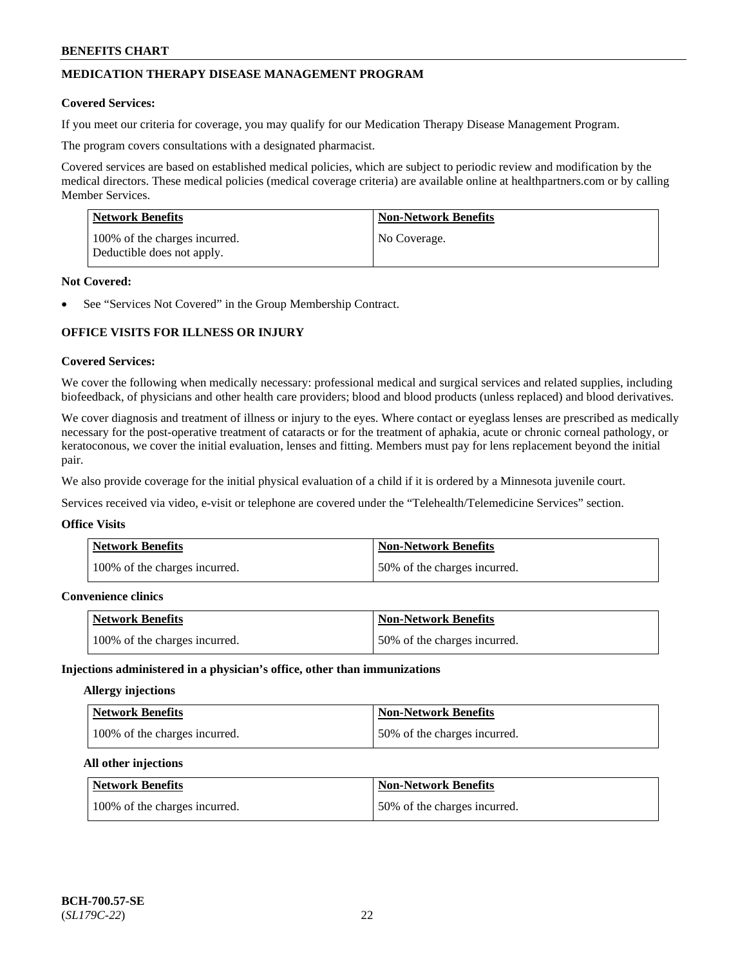# **MEDICATION THERAPY DISEASE MANAGEMENT PROGRAM**

### **Covered Services:**

If you meet our criteria for coverage, you may qualify for our Medication Therapy Disease Management Program.

The program covers consultations with a designated pharmacist.

Covered services are based on established medical policies, which are subject to periodic review and modification by the medical directors. These medical policies (medical coverage criteria) are available online at [healthpartners.com](https://www.healthpartners.com/hp/index.html) or by calling Member Services.

| Network Benefits                                            | <b>Non-Network Benefits</b> |
|-------------------------------------------------------------|-----------------------------|
| 100% of the charges incurred.<br>Deductible does not apply. | No Coverage.                |

### **Not Covered:**

See "Services Not Covered" in the Group Membership Contract.

# **OFFICE VISITS FOR ILLNESS OR INJURY**

### **Covered Services:**

We cover the following when medically necessary: professional medical and surgical services and related supplies, including biofeedback, of physicians and other health care providers; blood and blood products (unless replaced) and blood derivatives.

We cover diagnosis and treatment of illness or injury to the eyes. Where contact or eyeglass lenses are prescribed as medically necessary for the post-operative treatment of cataracts or for the treatment of aphakia, acute or chronic corneal pathology, or keratoconous, we cover the initial evaluation, lenses and fitting. Members must pay for lens replacement beyond the initial pair.

We also provide coverage for the initial physical evaluation of a child if it is ordered by a Minnesota juvenile court.

Services received via video, e-visit or telephone are covered under the "Telehealth/Telemedicine Services" section.

#### **Office Visits**

| <b>Network Benefits</b>       | <b>Non-Network Benefits</b>  |
|-------------------------------|------------------------------|
| 100% of the charges incurred. | 50% of the charges incurred. |

### **Convenience clinics**

| <b>Network Benefits</b>       | <b>Non-Network Benefits</b>  |
|-------------------------------|------------------------------|
| 100% of the charges incurred. | 50% of the charges incurred. |

#### **Injections administered in a physician's office, other than immunizations**

### **Allergy injections**

| Network Benefits              | <b>Non-Network Benefits</b>  |
|-------------------------------|------------------------------|
| 100% of the charges incurred. | 50% of the charges incurred. |

#### **All other injections**

| Network Benefits              | <b>Non-Network Benefits</b>  |
|-------------------------------|------------------------------|
| 100% of the charges incurred. | 50% of the charges incurred. |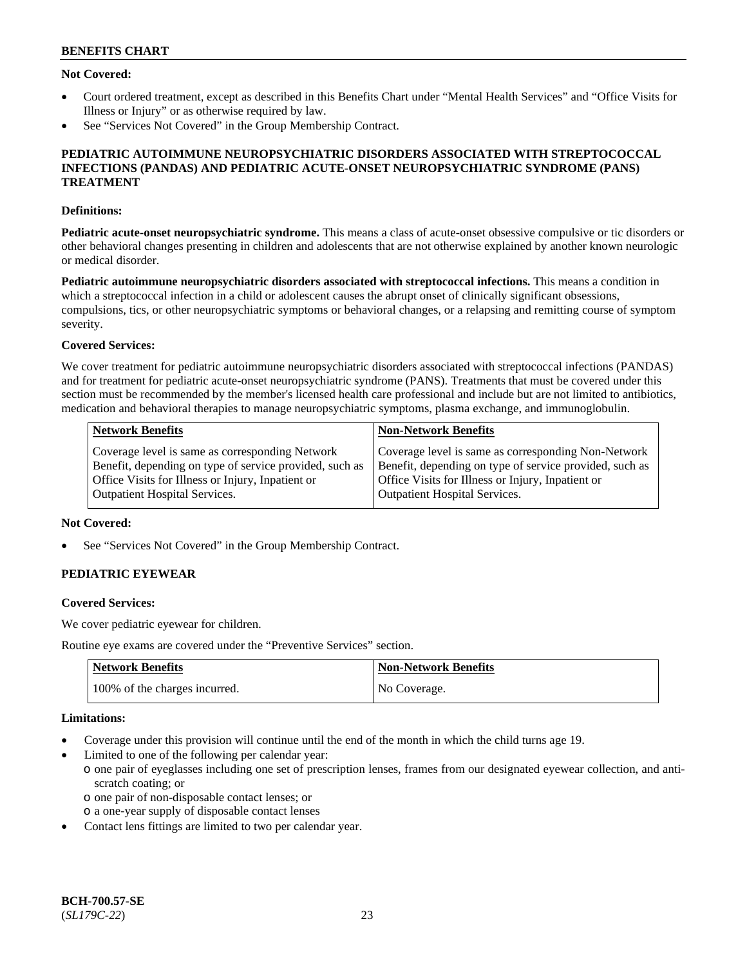# **Not Covered:**

- Court ordered treatment, except as described in this Benefits Chart under "Mental Health Services" and "Office Visits for Illness or Injury" or as otherwise required by law.
- See "Services Not Covered" in the Group Membership Contract.

### **PEDIATRIC AUTOIMMUNE NEUROPSYCHIATRIC DISORDERS ASSOCIATED WITH STREPTOCOCCAL INFECTIONS (PANDAS) AND PEDIATRIC ACUTE-ONSET NEUROPSYCHIATRIC SYNDROME (PANS) TREATMENT**

### **Definitions:**

**Pediatric acute-onset neuropsychiatric syndrome.** This means a class of acute-onset obsessive compulsive or tic disorders or other behavioral changes presenting in children and adolescents that are not otherwise explained by another known neurologic or medical disorder.

**Pediatric autoimmune neuropsychiatric disorders associated with streptococcal infections.** This means a condition in which a streptococcal infection in a child or adolescent causes the abrupt onset of clinically significant obsessions, compulsions, tics, or other neuropsychiatric symptoms or behavioral changes, or a relapsing and remitting course of symptom severity.

# **Covered Services:**

We cover treatment for pediatric autoimmune neuropsychiatric disorders associated with streptococcal infections (PANDAS) and for treatment for pediatric acute-onset neuropsychiatric syndrome (PANS). Treatments that must be covered under this section must be recommended by the member's licensed health care professional and include but are not limited to antibiotics, medication and behavioral therapies to manage neuropsychiatric symptoms, plasma exchange, and immunoglobulin.

| <b>Network Benefits</b>                                 | <b>Non-Network Benefits</b>                             |
|---------------------------------------------------------|---------------------------------------------------------|
| Coverage level is same as corresponding Network         | Coverage level is same as corresponding Non-Network     |
| Benefit, depending on type of service provided, such as | Benefit, depending on type of service provided, such as |
| Office Visits for Illness or Injury, Inpatient or       | Office Visits for Illness or Injury, Inpatient or       |
| <b>Outpatient Hospital Services.</b>                    | <b>Outpatient Hospital Services.</b>                    |

### **Not Covered:**

See "Services Not Covered" in the Group Membership Contract.

# **PEDIATRIC EYEWEAR**

#### **Covered Services:**

We cover pediatric eyewear for children.

Routine eye exams are covered under the "Preventive Services" section.

| <b>Network Benefits</b>       | Non-Network Benefits |
|-------------------------------|----------------------|
| 100% of the charges incurred. | No Coverage.         |

#### **Limitations:**

- Coverage under this provision will continue until the end of the month in which the child turns age 19.
- Limited to one of the following per calendar year:
	- o one pair of eyeglasses including one set of prescription lenses, frames from our designated eyewear collection, and antiscratch coating; or
		- o one pair of non-disposable contact lenses; or
	- o a one-year supply of disposable contact lenses
- Contact lens fittings are limited to two per calendar year.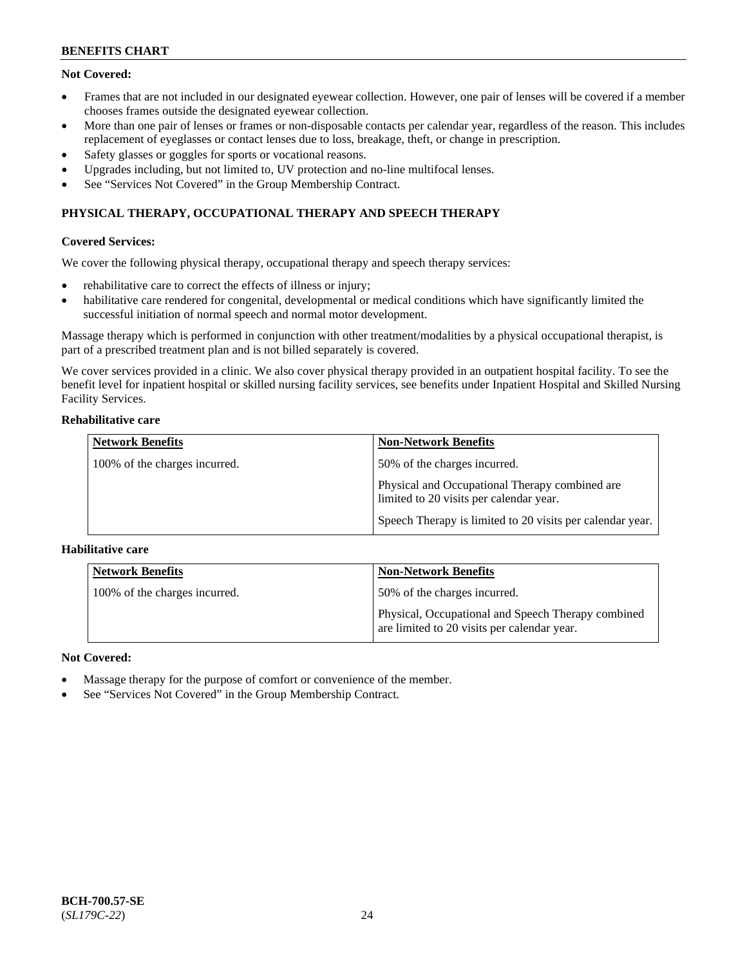# **Not Covered:**

- Frames that are not included in our designated eyewear collection. However, one pair of lenses will be covered if a member chooses frames outside the designated eyewear collection.
- More than one pair of lenses or frames or non-disposable contacts per calendar year, regardless of the reason. This includes replacement of eyeglasses or contact lenses due to loss, breakage, theft, or change in prescription.
- Safety glasses or goggles for sports or vocational reasons.
- Upgrades including, but not limited to, UV protection and no-line multifocal lenses.
- See "Services Not Covered" in the Group Membership Contract.

# **PHYSICAL THERAPY, OCCUPATIONAL THERAPY AND SPEECH THERAPY**

# **Covered Services:**

We cover the following physical therapy, occupational therapy and speech therapy services:

- rehabilitative care to correct the effects of illness or injury;
- habilitative care rendered for congenital, developmental or medical conditions which have significantly limited the successful initiation of normal speech and normal motor development.

Massage therapy which is performed in conjunction with other treatment/modalities by a physical occupational therapist, is part of a prescribed treatment plan and is not billed separately is covered.

We cover services provided in a clinic. We also cover physical therapy provided in an outpatient hospital facility. To see the benefit level for inpatient hospital or skilled nursing facility services, see benefits under Inpatient Hospital and Skilled Nursing Facility Services.

### **Rehabilitative care**

| <b>Network Benefits</b>       | <b>Non-Network Benefits</b>                                                               |
|-------------------------------|-------------------------------------------------------------------------------------------|
| 100% of the charges incurred. | 50% of the charges incurred.                                                              |
|                               | Physical and Occupational Therapy combined are<br>limited to 20 visits per calendar year. |
|                               | Speech Therapy is limited to 20 visits per calendar year.                                 |

# **Habilitative care**

| <b>Network Benefits</b>       | <b>Non-Network Benefits</b>                                                                       |
|-------------------------------|---------------------------------------------------------------------------------------------------|
| 100% of the charges incurred. | 50% of the charges incurred.                                                                      |
|                               | Physical, Occupational and Speech Therapy combined<br>are limited to 20 visits per calendar year. |

# **Not Covered:**

- Massage therapy for the purpose of comfort or convenience of the member.
- See "Services Not Covered" in the Group Membership Contract.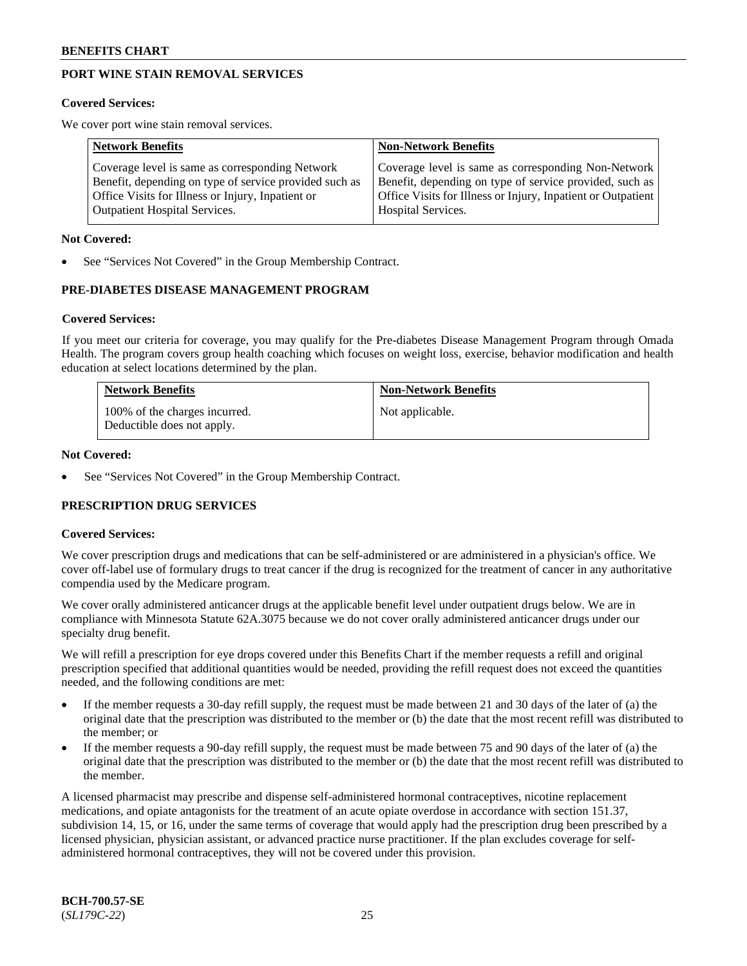# **PORT WINE STAIN REMOVAL SERVICES**

#### **Covered Services:**

We cover port wine stain removal services.

| <b>Network Benefits</b>                                | <b>Non-Network Benefits</b>                                  |
|--------------------------------------------------------|--------------------------------------------------------------|
| Coverage level is same as corresponding Network        | Coverage level is same as corresponding Non-Network          |
| Benefit, depending on type of service provided such as | Benefit, depending on type of service provided, such as      |
| Office Visits for Illness or Injury, Inpatient or      | Office Visits for Illness or Injury, Inpatient or Outpatient |
| <b>Outpatient Hospital Services.</b>                   | Hospital Services.                                           |

#### **Not Covered:**

See "Services Not Covered" in the Group Membership Contract.

# **PRE-DIABETES DISEASE MANAGEMENT PROGRAM**

#### **Covered Services:**

If you meet our criteria for coverage, you may qualify for the Pre-diabetes Disease Management Program through Omada Health. The program covers group health coaching which focuses on weight loss, exercise, behavior modification and health education at select locations determined by the plan.

| <b>Network Benefits</b>                                     | <b>Non-Network Benefits</b> |
|-------------------------------------------------------------|-----------------------------|
| 100% of the charges incurred.<br>Deductible does not apply. | Not applicable.             |

### **Not Covered:**

See "Services Not Covered" in the Group Membership Contract.

# **PRESCRIPTION DRUG SERVICES**

#### **Covered Services:**

We cover prescription drugs and medications that can be self-administered or are administered in a physician's office. We cover off-label use of formulary drugs to treat cancer if the drug is recognized for the treatment of cancer in any authoritative compendia used by the Medicare program.

We cover orally administered anticancer drugs at the applicable benefit level under outpatient drugs below. We are in compliance with Minnesota Statute 62A.3075 because we do not cover orally administered anticancer drugs under our specialty drug benefit.

We will refill a prescription for eye drops covered under this Benefits Chart if the member requests a refill and original prescription specified that additional quantities would be needed, providing the refill request does not exceed the quantities needed, and the following conditions are met:

- If the member requests a 30-day refill supply, the request must be made between 21 and 30 days of the later of (a) the original date that the prescription was distributed to the member or (b) the date that the most recent refill was distributed to the member; or
- If the member requests a 90-day refill supply, the request must be made between 75 and 90 days of the later of (a) the original date that the prescription was distributed to the member or (b) the date that the most recent refill was distributed to the member.

A licensed pharmacist may prescribe and dispense self-administered hormonal contraceptives, nicotine replacement medications, and opiate antagonists for the treatment of an acute opiate overdose in accordance with section 151.37, subdivision 14, 15, or 16, under the same terms of coverage that would apply had the prescription drug been prescribed by a licensed physician, physician assistant, or advanced practice nurse practitioner. If the plan excludes coverage for selfadministered hormonal contraceptives, they will not be covered under this provision.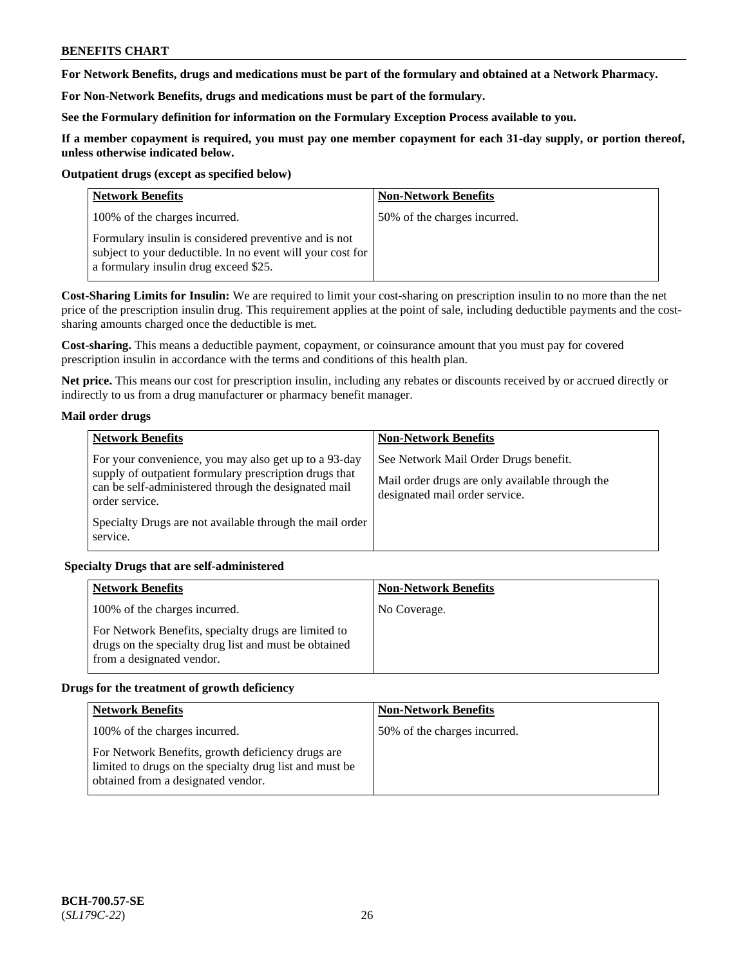**For Network Benefits, drugs and medications must be part of the formulary and obtained at a Network Pharmacy.**

**For Non-Network Benefits, drugs and medications must be part of the formulary.** 

**See the Formulary definition for information on the Formulary Exception Process available to you.**

**If a member copayment is required, you must pay one member copayment for each 31-day supply, or portion thereof, unless otherwise indicated below.**

### **Outpatient drugs (except as specified below)**

| <b>Network Benefits</b>                                                                                                                                      | <b>Non-Network Benefits</b>  |
|--------------------------------------------------------------------------------------------------------------------------------------------------------------|------------------------------|
| 100% of the charges incurred.                                                                                                                                | 50% of the charges incurred. |
| Formulary insulin is considered preventive and is not<br>subject to your deductible. In no event will your cost for<br>a formulary insulin drug exceed \$25. |                              |

**Cost-Sharing Limits for Insulin:** We are required to limit your cost-sharing on prescription insulin to no more than the net price of the prescription insulin drug. This requirement applies at the point of sale, including deductible payments and the costsharing amounts charged once the deductible is met.

**Cost-sharing.** This means a deductible payment, copayment, or coinsurance amount that you must pay for covered prescription insulin in accordance with the terms and conditions of this health plan.

**Net price.** This means our cost for prescription insulin, including any rebates or discounts received by or accrued directly or indirectly to us from a drug manufacturer or pharmacy benefit manager.

# **Mail order drugs**

| <b>Network Benefits</b>                                                                                                                                                                   | <b>Non-Network Benefits</b>                                                                                                |
|-------------------------------------------------------------------------------------------------------------------------------------------------------------------------------------------|----------------------------------------------------------------------------------------------------------------------------|
| For your convenience, you may also get up to a 93-day<br>supply of outpatient formulary prescription drugs that<br>can be self-administered through the designated mail<br>order service. | See Network Mail Order Drugs benefit.<br>Mail order drugs are only available through the<br>designated mail order service. |
| Specialty Drugs are not available through the mail order<br>service.                                                                                                                      |                                                                                                                            |

# **Specialty Drugs that are self-administered**

| <b>Network Benefits</b>                                                                                                                    | <b>Non-Network Benefits</b> |
|--------------------------------------------------------------------------------------------------------------------------------------------|-----------------------------|
| 100% of the charges incurred.                                                                                                              | No Coverage.                |
| For Network Benefits, specialty drugs are limited to<br>drugs on the specialty drug list and must be obtained<br>from a designated vendor. |                             |

# **Drugs for the treatment of growth deficiency**

| <b>Network Benefits</b>                                                                                                                            | <b>Non-Network Benefits</b>  |
|----------------------------------------------------------------------------------------------------------------------------------------------------|------------------------------|
| 100% of the charges incurred.                                                                                                                      | 50% of the charges incurred. |
| For Network Benefits, growth deficiency drugs are<br>limited to drugs on the specialty drug list and must be<br>obtained from a designated vendor. |                              |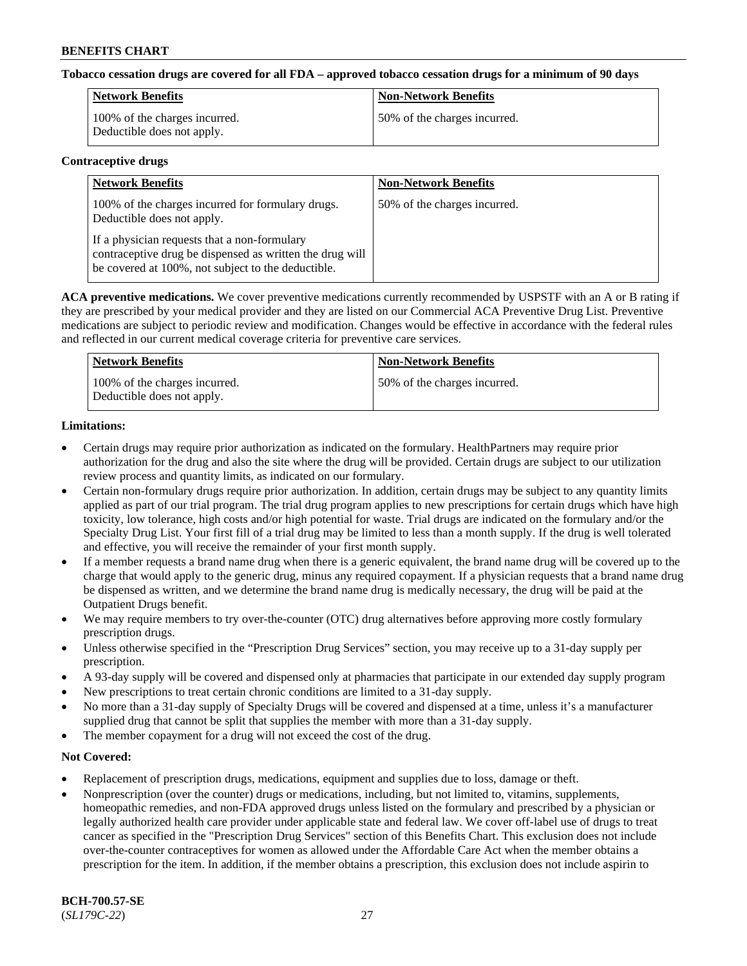# **Tobacco cessation drugs are covered for all FDA – approved tobacco cessation drugs for a minimum of 90 days**

| Network Benefits                                            | <b>Non-Network Benefits</b>  |
|-------------------------------------------------------------|------------------------------|
| 100% of the charges incurred.<br>Deductible does not apply. | 50% of the charges incurred. |

#### **Contraceptive drugs**

| <b>Network Benefits</b>                                                                                                                                        | <b>Non-Network Benefits</b>  |
|----------------------------------------------------------------------------------------------------------------------------------------------------------------|------------------------------|
| 100% of the charges incurred for formulary drugs.<br>Deductible does not apply.                                                                                | 50% of the charges incurred. |
| If a physician requests that a non-formulary<br>contraceptive drug be dispensed as written the drug will<br>be covered at 100%, not subject to the deductible. |                              |

**ACA preventive medications.** We cover preventive medications currently recommended by USPSTF with an A or B rating if they are prescribed by your medical provider and they are listed on our Commercial ACA Preventive Drug List. Preventive medications are subject to periodic review and modification. Changes would be effective in accordance with the federal rules and reflected in our current medical coverage criteria for preventive care services.

| Network Benefits                                            | <b>Non-Network Benefits</b>  |
|-------------------------------------------------------------|------------------------------|
| 100% of the charges incurred.<br>Deductible does not apply. | 50% of the charges incurred. |

# **Limitations:**

- Certain drugs may require prior authorization as indicated on the formulary. HealthPartners may require prior authorization for the drug and also the site where the drug will be provided. Certain drugs are subject to our utilization review process and quantity limits, as indicated on our formulary.
- Certain non-formulary drugs require prior authorization. In addition, certain drugs may be subject to any quantity limits applied as part of our trial program. The trial drug program applies to new prescriptions for certain drugs which have high toxicity, low tolerance, high costs and/or high potential for waste. Trial drugs are indicated on the formulary and/or the Specialty Drug List. Your first fill of a trial drug may be limited to less than a month supply. If the drug is well tolerated and effective, you will receive the remainder of your first month supply.
- If a member requests a brand name drug when there is a generic equivalent, the brand name drug will be covered up to the charge that would apply to the generic drug, minus any required copayment. If a physician requests that a brand name drug be dispensed as written, and we determine the brand name drug is medically necessary, the drug will be paid at the Outpatient Drugs benefit.
- We may require members to try over-the-counter (OTC) drug alternatives before approving more costly formulary prescription drugs.
- Unless otherwise specified in the "Prescription Drug Services" section, you may receive up to a 31-day supply per prescription.
- A 93-day supply will be covered and dispensed only at pharmacies that participate in our extended day supply program
- New prescriptions to treat certain chronic conditions are limited to a 31-day supply.
- No more than a 31-day supply of Specialty Drugs will be covered and dispensed at a time, unless it's a manufacturer supplied drug that cannot be split that supplies the member with more than a 31-day supply.
- The member copayment for a drug will not exceed the cost of the drug.

# **Not Covered:**

- Replacement of prescription drugs, medications, equipment and supplies due to loss, damage or theft.
- Nonprescription (over the counter) drugs or medications, including, but not limited to, vitamins, supplements, homeopathic remedies, and non-FDA approved drugs unless listed on the formulary and prescribed by a physician or legally authorized health care provider under applicable state and federal law. We cover off-label use of drugs to treat cancer as specified in the "Prescription Drug Services" section of this Benefits Chart. This exclusion does not include over-the-counter contraceptives for women as allowed under the Affordable Care Act when the member obtains a prescription for the item. In addition, if the member obtains a prescription, this exclusion does not include aspirin to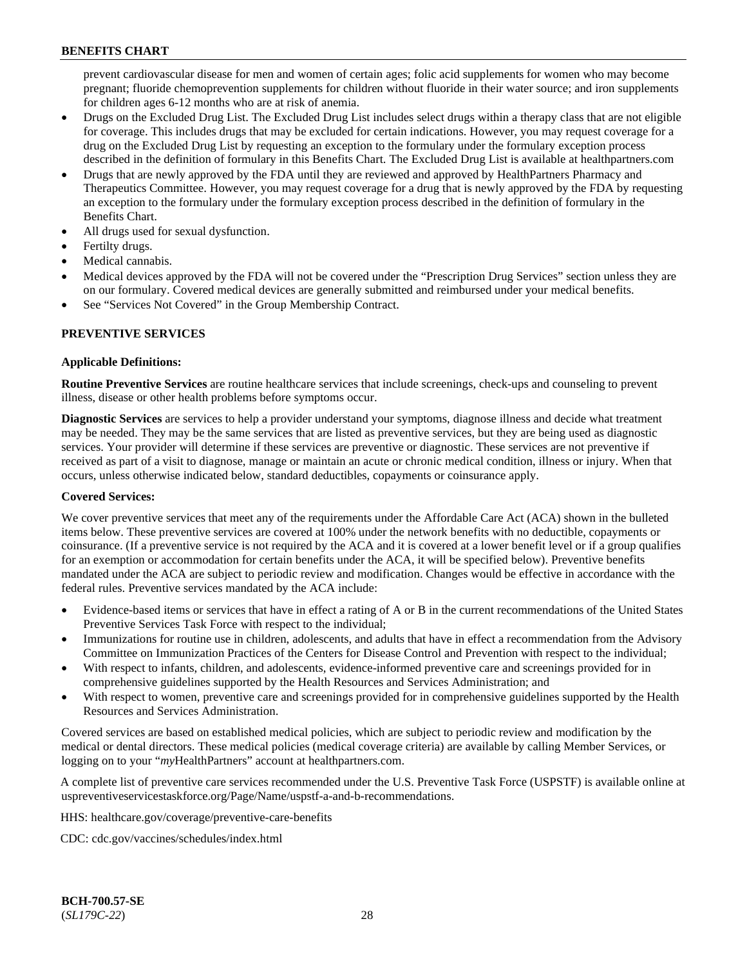prevent cardiovascular disease for men and women of certain ages; folic acid supplements for women who may become pregnant; fluoride chemoprevention supplements for children without fluoride in their water source; and iron supplements for children ages 6-12 months who are at risk of anemia.

- Drugs on the Excluded Drug List. The Excluded Drug List includes select drugs within a therapy class that are not eligible for coverage. This includes drugs that may be excluded for certain indications. However, you may request coverage for a drug on the Excluded Drug List by requesting an exception to the formulary under the formulary exception process described in the definition of formulary in this Benefits Chart. The Excluded Drug List is available at [healthpartners.com](http://www.healthpartners.com/)
- Drugs that are newly approved by the FDA until they are reviewed and approved by HealthPartners Pharmacy and Therapeutics Committee. However, you may request coverage for a drug that is newly approved by the FDA by requesting an exception to the formulary under the formulary exception process described in the definition of formulary in the Benefits Chart.
- All drugs used for sexual dysfunction.
- Fertilty drugs.
- Medical cannabis.
- Medical devices approved by the FDA will not be covered under the "Prescription Drug Services" section unless they are on our formulary. Covered medical devices are generally submitted and reimbursed under your medical benefits.
- See "Services Not Covered" in the Group Membership Contract.

# **PREVENTIVE SERVICES**

# **Applicable Definitions:**

**Routine Preventive Services** are routine healthcare services that include screenings, check-ups and counseling to prevent illness, disease or other health problems before symptoms occur.

**Diagnostic Services** are services to help a provider understand your symptoms, diagnose illness and decide what treatment may be needed. They may be the same services that are listed as preventive services, but they are being used as diagnostic services. Your provider will determine if these services are preventive or diagnostic. These services are not preventive if received as part of a visit to diagnose, manage or maintain an acute or chronic medical condition, illness or injury. When that occurs, unless otherwise indicated below, standard deductibles, copayments or coinsurance apply.

# **Covered Services:**

We cover preventive services that meet any of the requirements under the Affordable Care Act (ACA) shown in the bulleted items below. These preventive services are covered at 100% under the network benefits with no deductible, copayments or coinsurance. (If a preventive service is not required by the ACA and it is covered at a lower benefit level or if a group qualifies for an exemption or accommodation for certain benefits under the ACA, it will be specified below). Preventive benefits mandated under the ACA are subject to periodic review and modification. Changes would be effective in accordance with the federal rules. Preventive services mandated by the ACA include:

- Evidence-based items or services that have in effect a rating of A or B in the current recommendations of the United States Preventive Services Task Force with respect to the individual;
- Immunizations for routine use in children, adolescents, and adults that have in effect a recommendation from the Advisory Committee on Immunization Practices of the Centers for Disease Control and Prevention with respect to the individual;
- With respect to infants, children, and adolescents, evidence-informed preventive care and screenings provided for in comprehensive guidelines supported by the Health Resources and Services Administration; and
- With respect to women, preventive care and screenings provided for in comprehensive guidelines supported by the Health Resources and Services Administration.

Covered services are based on established medical policies, which are subject to periodic review and modification by the medical or dental directors. These medical policies (medical coverage criteria) are available by calling Member Services, or logging on to your "*my*HealthPartners" account at [healthpartners.com.](http://www.healthpartners.com/)

A complete list of preventive care services recommended under the U.S. Preventive Task Force (USPSTF) is available online at [uspreventiveservicestaskforce.org/Page/Name/uspstf-a-and-b-recommendations.](https://www.uspreventiveservicestaskforce.org/Page/Name/uspstf-a-and-b-recommendations-by-date/)

HHS: [healthcare.gov/coverage/preventive-care-benefits](https://www.healthcare.gov/coverage/preventive-care-benefits/)

CDC: [cdc.gov/vaccines/schedules/index.html](https://www.cdc.gov/vaccines/schedules/index.html)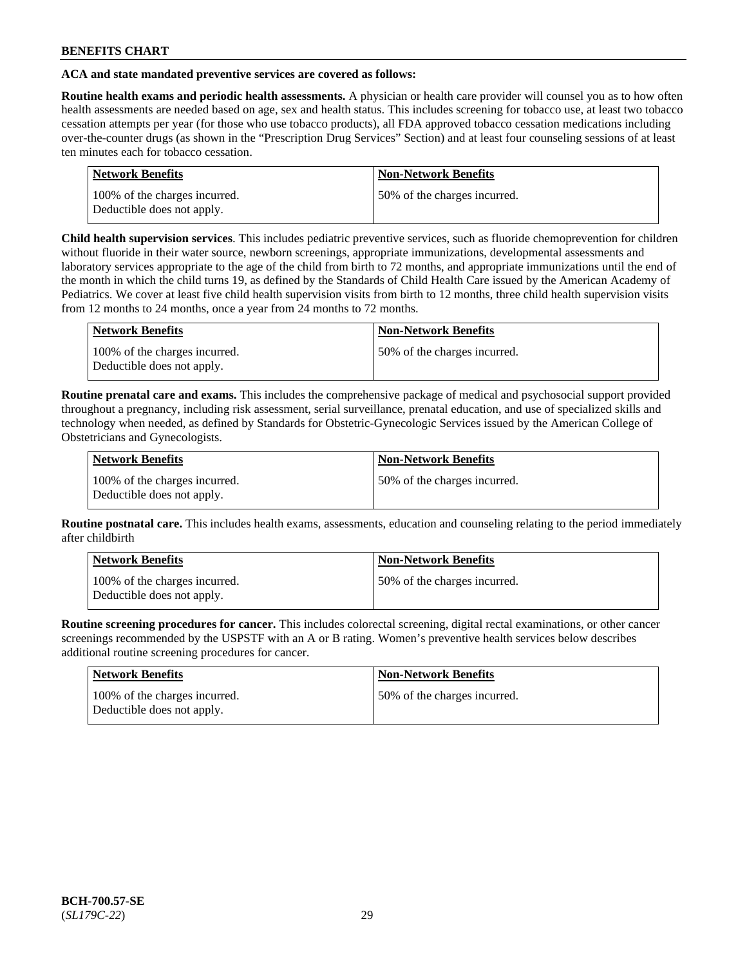# **ACA and state mandated preventive services are covered as follows:**

**Routine health exams and periodic health assessments.** A physician or health care provider will counsel you as to how often health assessments are needed based on age, sex and health status. This includes screening for tobacco use, at least two tobacco cessation attempts per year (for those who use tobacco products), all FDA approved tobacco cessation medications including over-the-counter drugs (as shown in the "Prescription Drug Services" Section) and at least four counseling sessions of at least ten minutes each for tobacco cessation.

| <b>Network Benefits</b>                                     | <b>Non-Network Benefits</b>  |
|-------------------------------------------------------------|------------------------------|
| 100% of the charges incurred.<br>Deductible does not apply. | 50% of the charges incurred. |

**Child health supervision services**. This includes pediatric preventive services, such as fluoride chemoprevention for children without fluoride in their water source, newborn screenings, appropriate immunizations, developmental assessments and laboratory services appropriate to the age of the child from birth to 72 months, and appropriate immunizations until the end of the month in which the child turns 19, as defined by the Standards of Child Health Care issued by the American Academy of Pediatrics. We cover at least five child health supervision visits from birth to 12 months, three child health supervision visits from 12 months to 24 months, once a year from 24 months to 72 months.

| Network Benefits                                            | <b>Non-Network Benefits</b>  |
|-------------------------------------------------------------|------------------------------|
| 100% of the charges incurred.<br>Deductible does not apply. | 50% of the charges incurred. |

**Routine prenatal care and exams.** This includes the comprehensive package of medical and psychosocial support provided throughout a pregnancy, including risk assessment, serial surveillance, prenatal education, and use of specialized skills and technology when needed, as defined by Standards for Obstetric-Gynecologic Services issued by the American College of Obstetricians and Gynecologists.

| Network Benefits                                            | <b>Non-Network Benefits</b>   |
|-------------------------------------------------------------|-------------------------------|
| 100% of the charges incurred.<br>Deductible does not apply. | 150% of the charges incurred. |

**Routine postnatal care.** This includes health exams, assessments, education and counseling relating to the period immediately after childbirth

| Network Benefits                                            | <b>Non-Network Benefits</b>  |
|-------------------------------------------------------------|------------------------------|
| 100% of the charges incurred.<br>Deductible does not apply. | 50% of the charges incurred. |

**Routine screening procedures for cancer.** This includes colorectal screening, digital rectal examinations, or other cancer screenings recommended by the USPSTF with an A or B rating. Women's preventive health services below describes additional routine screening procedures for cancer.

| <b>Network Benefits</b>                                     | <b>Non-Network Benefits</b>  |
|-------------------------------------------------------------|------------------------------|
| 100% of the charges incurred.<br>Deductible does not apply. | 50% of the charges incurred. |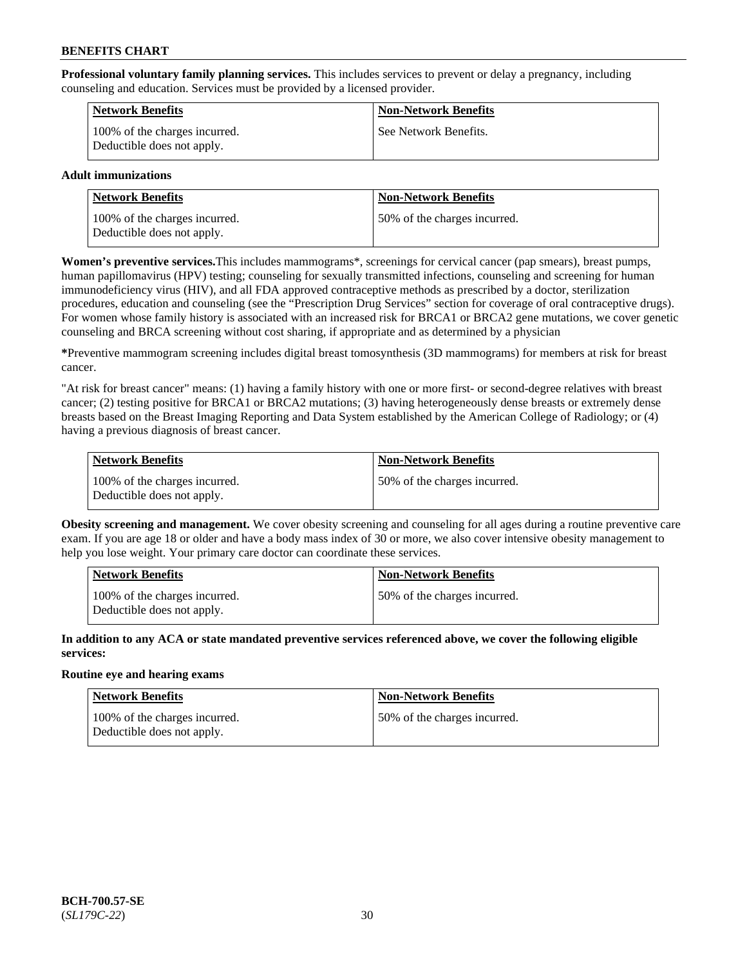**Professional voluntary family planning services.** This includes services to prevent or delay a pregnancy, including counseling and education. Services must be provided by a licensed provider.

| <b>Network Benefits</b>                                     | <b>Non-Network Benefits</b> |
|-------------------------------------------------------------|-----------------------------|
| 100% of the charges incurred.<br>Deductible does not apply. | See Network Benefits.       |

# **Adult immunizations**

| <b>Network Benefits</b>                                     | <b>Non-Network Benefits</b>  |
|-------------------------------------------------------------|------------------------------|
| 100% of the charges incurred.<br>Deductible does not apply. | 50% of the charges incurred. |

**Women's preventive services.**This includes mammograms\*, screenings for cervical cancer (pap smears), breast pumps, human papillomavirus (HPV) testing; counseling for sexually transmitted infections, counseling and screening for human immunodeficiency virus (HIV), and all FDA approved contraceptive methods as prescribed by a doctor, sterilization procedures, education and counseling (see the "Prescription Drug Services" section for coverage of oral contraceptive drugs). For women whose family history is associated with an increased risk for BRCA1 or BRCA2 gene mutations, we cover genetic counseling and BRCA screening without cost sharing, if appropriate and as determined by a physician

**\***Preventive mammogram screening includes digital breast tomosynthesis (3D mammograms) for members at risk for breast cancer.

"At risk for breast cancer" means: (1) having a family history with one or more first- or second-degree relatives with breast cancer; (2) testing positive for BRCA1 or BRCA2 mutations; (3) having heterogeneously dense breasts or extremely dense breasts based on the Breast Imaging Reporting and Data System established by the American College of Radiology; or (4) having a previous diagnosis of breast cancer.

| Network Benefits                                            | <b>Non-Network Benefits</b>  |
|-------------------------------------------------------------|------------------------------|
| 100% of the charges incurred.<br>Deductible does not apply. | 50% of the charges incurred. |

**Obesity screening and management.** We cover obesity screening and counseling for all ages during a routine preventive care exam. If you are age 18 or older and have a body mass index of 30 or more, we also cover intensive obesity management to help you lose weight. Your primary care doctor can coordinate these services.

| <b>Network Benefits</b>                                     | <b>Non-Network Benefits</b>   |
|-------------------------------------------------------------|-------------------------------|
| 100% of the charges incurred.<br>Deductible does not apply. | 150% of the charges incurred. |

**In addition to any ACA or state mandated preventive services referenced above, we cover the following eligible services:**

# **Routine eye and hearing exams**

| <b>Network Benefits</b>                                     | <b>Non-Network Benefits</b>  |
|-------------------------------------------------------------|------------------------------|
| 100% of the charges incurred.<br>Deductible does not apply. | 50% of the charges incurred. |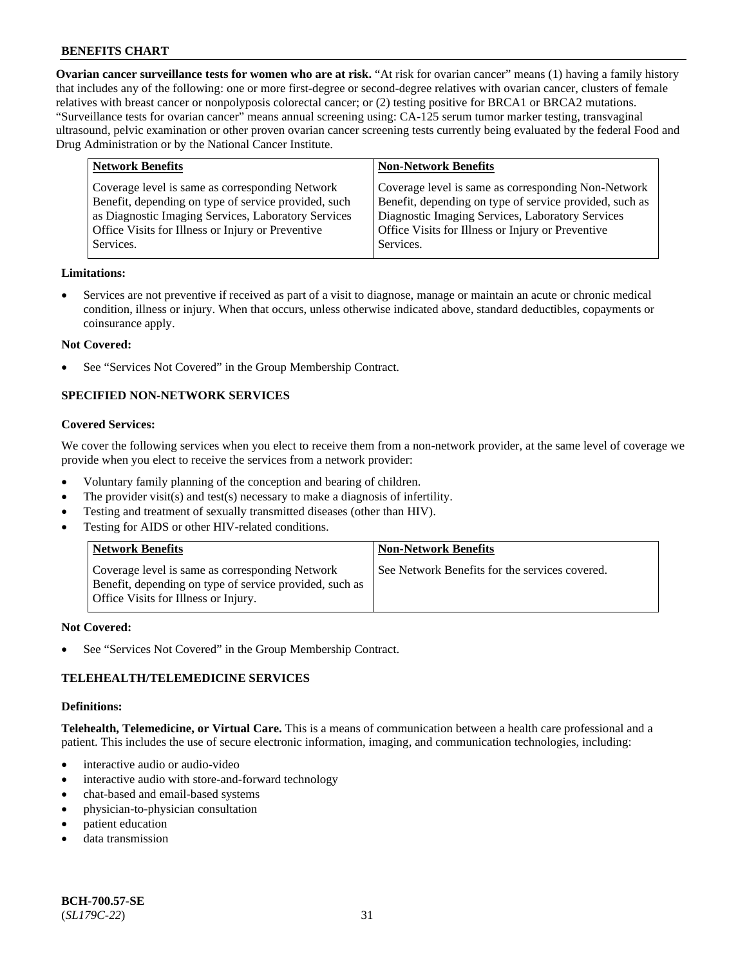**Ovarian cancer surveillance tests for women who are at risk.** "At risk for ovarian cancer" means (1) having a family history that includes any of the following: one or more first-degree or second-degree relatives with ovarian cancer, clusters of female relatives with breast cancer or nonpolyposis colorectal cancer; or (2) testing positive for BRCA1 or BRCA2 mutations. "Surveillance tests for ovarian cancer" means annual screening using: CA-125 serum tumor marker testing, transvaginal ultrasound, pelvic examination or other proven ovarian cancer screening tests currently being evaluated by the federal Food and Drug Administration or by the National Cancer Institute.

| <b>Network Benefits</b>                                                                                                                                                                                                          | <b>Non-Network Benefits</b>                                                                                                                                                                                                          |
|----------------------------------------------------------------------------------------------------------------------------------------------------------------------------------------------------------------------------------|--------------------------------------------------------------------------------------------------------------------------------------------------------------------------------------------------------------------------------------|
| Coverage level is same as corresponding Network<br>Benefit, depending on type of service provided, such<br>as Diagnostic Imaging Services, Laboratory Services<br>Office Visits for Illness or Injury or Preventive<br>Services. | Coverage level is same as corresponding Non-Network<br>Benefit, depending on type of service provided, such as<br>Diagnostic Imaging Services, Laboratory Services<br>Office Visits for Illness or Injury or Preventive<br>Services. |
|                                                                                                                                                                                                                                  |                                                                                                                                                                                                                                      |

### **Limitations:**

• Services are not preventive if received as part of a visit to diagnose, manage or maintain an acute or chronic medical condition, illness or injury. When that occurs, unless otherwise indicated above, standard deductibles, copayments or coinsurance apply.

#### **Not Covered:**

See "Services Not Covered" in the Group Membership Contract.

# **SPECIFIED NON-NETWORK SERVICES**

#### **Covered Services:**

We cover the following services when you elect to receive them from a non-network provider, at the same level of coverage we provide when you elect to receive the services from a network provider:

- Voluntary family planning of the conception and bearing of children.
- The provider visit(s) and test(s) necessary to make a diagnosis of infertility.
- Testing and treatment of sexually transmitted diseases (other than HIV).
- Testing for AIDS or other HIV-related conditions.

| <b>Network Benefits</b>                                                                                                                            | <b>Non-Network Benefits</b>                    |
|----------------------------------------------------------------------------------------------------------------------------------------------------|------------------------------------------------|
| Coverage level is same as corresponding Network<br>Benefit, depending on type of service provided, such as<br>Office Visits for Illness or Injury. | See Network Benefits for the services covered. |

#### **Not Covered:**

See "Services Not Covered" in the Group Membership Contract.

# **TELEHEALTH/TELEMEDICINE SERVICES**

#### **Definitions:**

**Telehealth, Telemedicine, or Virtual Care.** This is a means of communication between a health care professional and a patient. This includes the use of secure electronic information, imaging, and communication technologies, including:

- interactive audio or audio-video
- interactive audio with store-and-forward technology
- chat-based and email-based systems
- physician-to-physician consultation
- patient education
- data transmission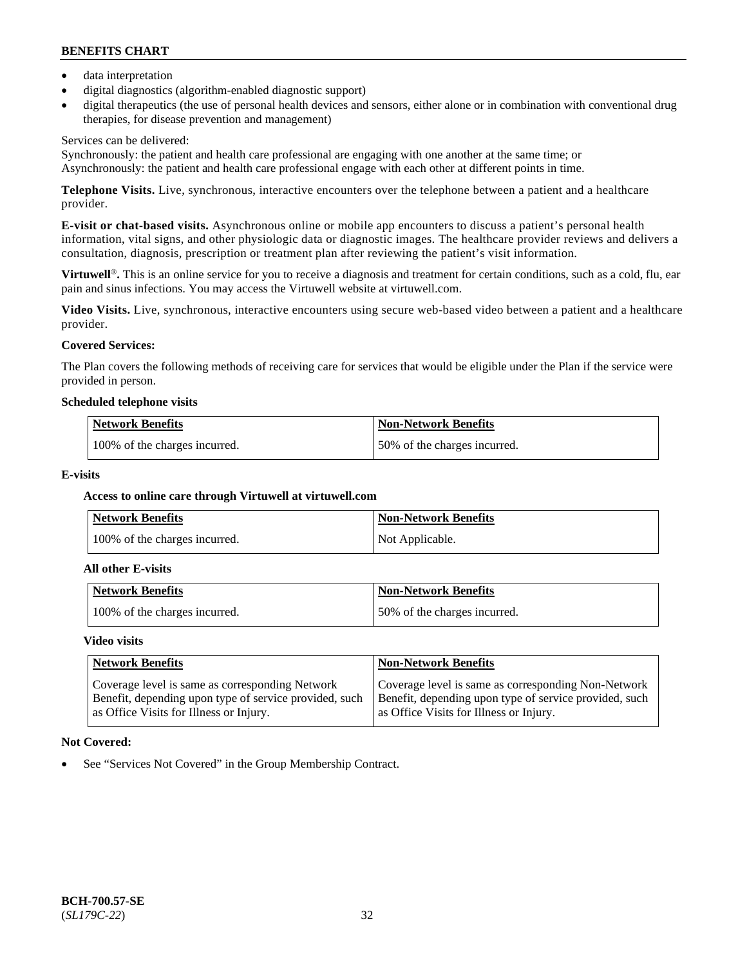- data interpretation
- digital diagnostics (algorithm-enabled diagnostic support)
- digital therapeutics (the use of personal health devices and sensors, either alone or in combination with conventional drug therapies, for disease prevention and management)

# Services can be delivered:

Synchronously: the patient and health care professional are engaging with one another at the same time; or Asynchronously: the patient and health care professional engage with each other at different points in time.

**Telephone Visits.** Live, synchronous, interactive encounters over the telephone between a patient and a healthcare provider.

**E-visit or chat-based visits.** Asynchronous online or mobile app encounters to discuss a patient's personal health information, vital signs, and other physiologic data or diagnostic images. The healthcare provider reviews and delivers a consultation, diagnosis, prescription or treatment plan after reviewing the patient's visit information.

**Virtuwell<sup>®</sup>**. This is an online service for you to receive a diagnosis and treatment for certain conditions, such as a cold, flu, ear pain and sinus infections. You may access the Virtuwell website at [virtuwell.com.](https://www.virtuwell.com/)

**Video Visits.** Live, synchronous, interactive encounters using secure web-based video between a patient and a healthcare provider.

# **Covered Services:**

The Plan covers the following methods of receiving care for services that would be eligible under the Plan if the service were provided in person.

### **Scheduled telephone visits**

| <b>Network Benefits</b>       | <b>Non-Network Benefits</b>  |
|-------------------------------|------------------------------|
| 100% of the charges incurred. | 50% of the charges incurred. |

# **E-visits**

# **Access to online care through Virtuwell at [virtuwell.com](https://www.virtuwell.com/)**

| <b>Network Benefits</b>       | <b>Non-Network Benefits</b> |
|-------------------------------|-----------------------------|
| 100% of the charges incurred. | Not Applicable.             |

#### **All other E-visits**

| Network Benefits              | <b>Non-Network Benefits</b>  |
|-------------------------------|------------------------------|
| 100% of the charges incurred. | 50% of the charges incurred. |

#### **Video visits**

| <b>Network Benefits</b>                                                                                                                              | <b>Non-Network Benefits</b>                                                                                                                              |
|------------------------------------------------------------------------------------------------------------------------------------------------------|----------------------------------------------------------------------------------------------------------------------------------------------------------|
| Coverage level is same as corresponding Network<br>Benefit, depending upon type of service provided, such<br>as Office Visits for Illness or Injury. | Coverage level is same as corresponding Non-Network<br>Benefit, depending upon type of service provided, such<br>as Office Visits for Illness or Injury. |

# **Not Covered:**

See "Services Not Covered" in the Group Membership Contract.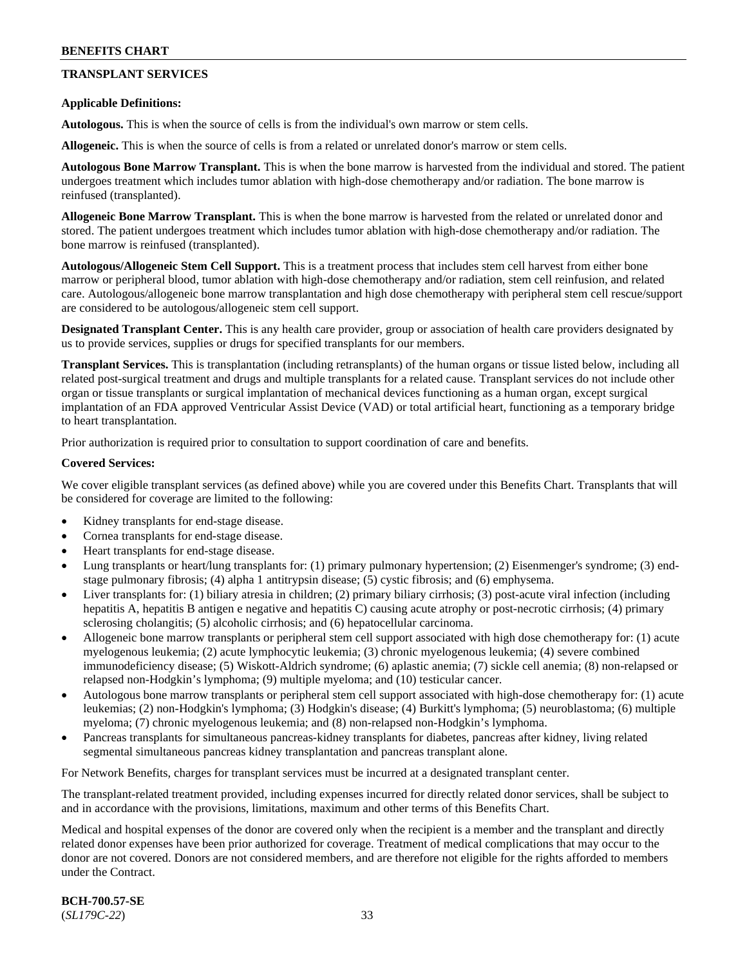# **TRANSPLANT SERVICES**

### **Applicable Definitions:**

**Autologous.** This is when the source of cells is from the individual's own marrow or stem cells.

**Allogeneic.** This is when the source of cells is from a related or unrelated donor's marrow or stem cells.

**Autologous Bone Marrow Transplant.** This is when the bone marrow is harvested from the individual and stored. The patient undergoes treatment which includes tumor ablation with high-dose chemotherapy and/or radiation. The bone marrow is reinfused (transplanted).

**Allogeneic Bone Marrow Transplant.** This is when the bone marrow is harvested from the related or unrelated donor and stored. The patient undergoes treatment which includes tumor ablation with high-dose chemotherapy and/or radiation. The bone marrow is reinfused (transplanted).

**Autologous/Allogeneic Stem Cell Support.** This is a treatment process that includes stem cell harvest from either bone marrow or peripheral blood, tumor ablation with high-dose chemotherapy and/or radiation, stem cell reinfusion, and related care. Autologous/allogeneic bone marrow transplantation and high dose chemotherapy with peripheral stem cell rescue/support are considered to be autologous/allogeneic stem cell support.

**Designated Transplant Center.** This is any health care provider, group or association of health care providers designated by us to provide services, supplies or drugs for specified transplants for our members.

**Transplant Services.** This is transplantation (including retransplants) of the human organs or tissue listed below, including all related post-surgical treatment and drugs and multiple transplants for a related cause. Transplant services do not include other organ or tissue transplants or surgical implantation of mechanical devices functioning as a human organ, except surgical implantation of an FDA approved Ventricular Assist Device (VAD) or total artificial heart, functioning as a temporary bridge to heart transplantation.

Prior authorization is required prior to consultation to support coordination of care and benefits.

### **Covered Services:**

We cover eligible transplant services (as defined above) while you are covered under this Benefits Chart. Transplants that will be considered for coverage are limited to the following:

- Kidney transplants for end-stage disease.
- Cornea transplants for end-stage disease.
- Heart transplants for end-stage disease.
- Lung transplants or heart/lung transplants for: (1) primary pulmonary hypertension; (2) Eisenmenger's syndrome; (3) endstage pulmonary fibrosis; (4) alpha 1 antitrypsin disease; (5) cystic fibrosis; and (6) emphysema.
- Liver transplants for: (1) biliary atresia in children; (2) primary biliary cirrhosis; (3) post-acute viral infection (including hepatitis A, hepatitis B antigen e negative and hepatitis C) causing acute atrophy or post-necrotic cirrhosis; (4) primary sclerosing cholangitis; (5) alcoholic cirrhosis; and (6) hepatocellular carcinoma.
- Allogeneic bone marrow transplants or peripheral stem cell support associated with high dose chemotherapy for: (1) acute myelogenous leukemia; (2) acute lymphocytic leukemia; (3) chronic myelogenous leukemia; (4) severe combined immunodeficiency disease; (5) Wiskott-Aldrich syndrome; (6) aplastic anemia; (7) sickle cell anemia; (8) non-relapsed or relapsed non-Hodgkin's lymphoma; (9) multiple myeloma; and (10) testicular cancer.
- Autologous bone marrow transplants or peripheral stem cell support associated with high-dose chemotherapy for: (1) acute leukemias; (2) non-Hodgkin's lymphoma; (3) Hodgkin's disease; (4) Burkitt's lymphoma; (5) neuroblastoma; (6) multiple myeloma; (7) chronic myelogenous leukemia; and (8) non-relapsed non-Hodgkin's lymphoma.
- Pancreas transplants for simultaneous pancreas-kidney transplants for diabetes, pancreas after kidney, living related segmental simultaneous pancreas kidney transplantation and pancreas transplant alone.

For Network Benefits, charges for transplant services must be incurred at a designated transplant center.

The transplant-related treatment provided, including expenses incurred for directly related donor services, shall be subject to and in accordance with the provisions, limitations, maximum and other terms of this Benefits Chart.

Medical and hospital expenses of the donor are covered only when the recipient is a member and the transplant and directly related donor expenses have been prior authorized for coverage. Treatment of medical complications that may occur to the donor are not covered. Donors are not considered members, and are therefore not eligible for the rights afforded to members under the Contract.